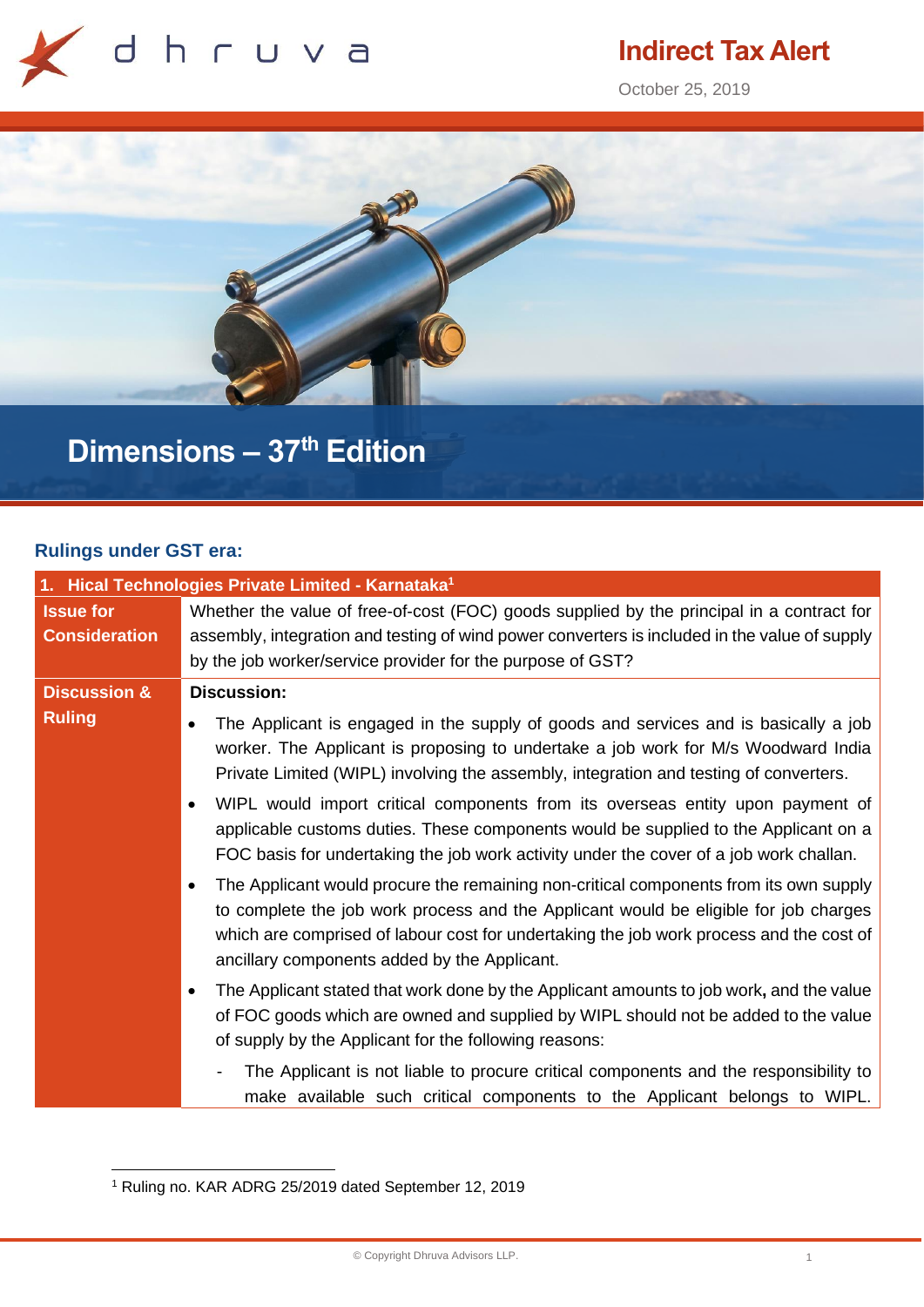

# **Indirect Tax Alert**

October 25, 2019



# **Dimensions – 37th Edition**

# **Rulings under GST era:**

| 1. Hical Technologies Private Limited - Karnataka <sup>1</sup> |                                                                                                                                                                                                                                                                                                                          |
|----------------------------------------------------------------|--------------------------------------------------------------------------------------------------------------------------------------------------------------------------------------------------------------------------------------------------------------------------------------------------------------------------|
| <b>Issue for</b><br><b>Consideration</b>                       | Whether the value of free-of-cost (FOC) goods supplied by the principal in a contract for<br>assembly, integration and testing of wind power converters is included in the value of supply<br>by the job worker/service provider for the purpose of GST?                                                                 |
| <b>Discussion &amp;</b>                                        | <b>Discussion:</b>                                                                                                                                                                                                                                                                                                       |
| <b>Ruling</b>                                                  | The Applicant is engaged in the supply of goods and services and is basically a job<br>worker. The Applicant is proposing to undertake a job work for M/s Woodward India<br>Private Limited (WIPL) involving the assembly, integration and testing of converters.                                                        |
|                                                                | WIPL would import critical components from its overseas entity upon payment of<br>applicable customs duties. These components would be supplied to the Applicant on a<br>FOC basis for undertaking the job work activity under the cover of a job work challan.                                                          |
|                                                                | The Applicant would procure the remaining non-critical components from its own supply<br>to complete the job work process and the Applicant would be eligible for job charges<br>which are comprised of labour cost for undertaking the job work process and the cost of<br>ancillary components added by the Applicant. |
|                                                                | The Applicant stated that work done by the Applicant amounts to job work, and the value<br>of FOC goods which are owned and supplied by WIPL should not be added to the value<br>of supply by the Applicant for the following reasons:                                                                                   |
|                                                                | The Applicant is not liable to procure critical components and the responsibility to<br>make available such critical components to the Applicant belongs to WIPL.                                                                                                                                                        |

<sup>1</sup> Ruling no. KAR ADRG 25/2019 dated September 12, 2019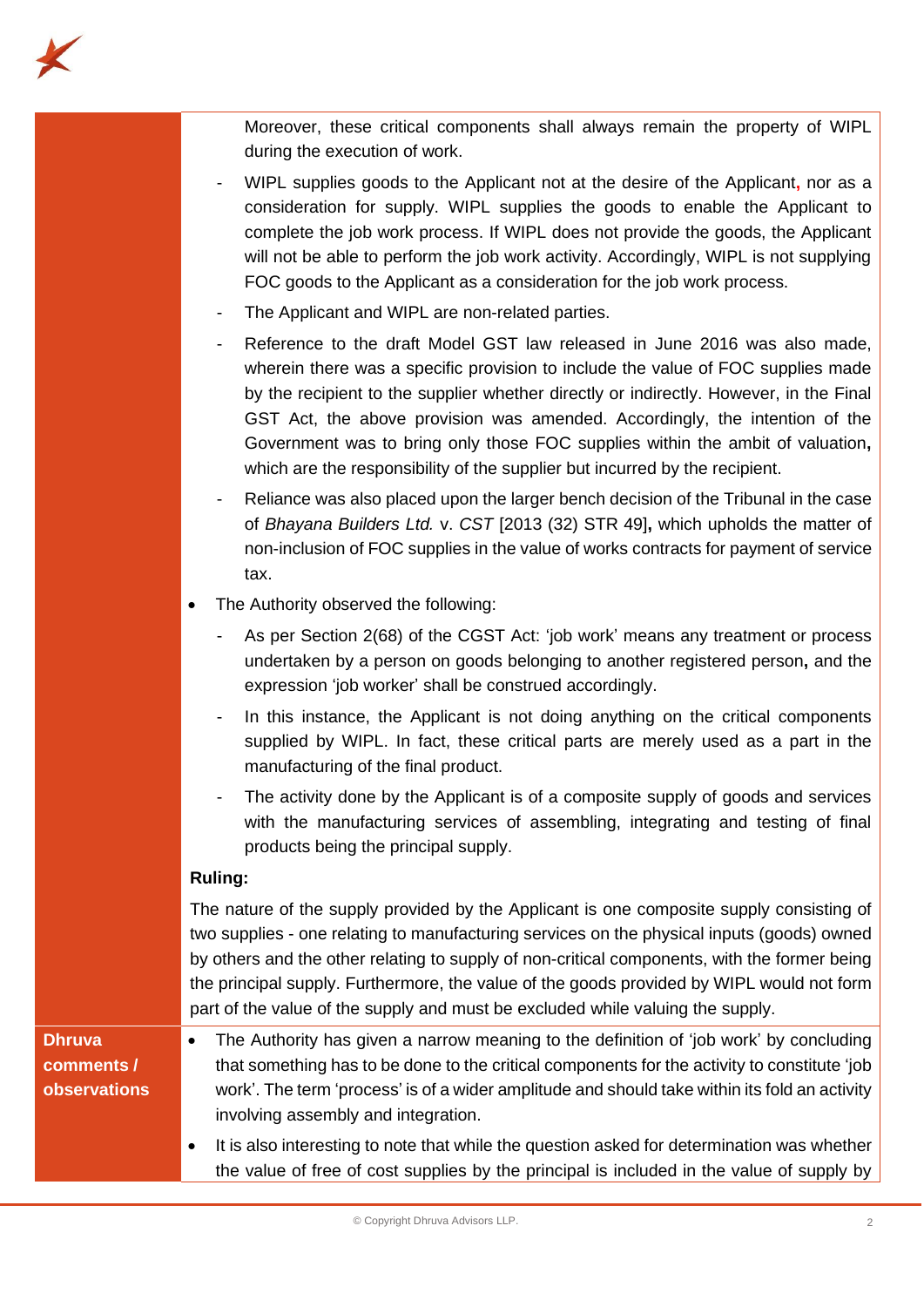Moreover, these critical components shall always remain the property of WIPL during the execution of work.

- WIPL supplies goods to the Applicant not at the desire of the Applicant**,** nor as a consideration for supply. WIPL supplies the goods to enable the Applicant to complete the job work process. If WIPL does not provide the goods, the Applicant will not be able to perform the job work activity. Accordingly, WIPL is not supplying FOC goods to the Applicant as a consideration for the job work process.
- The Applicant and WIPL are non-related parties.
- Reference to the draft Model GST law released in June 2016 was also made. wherein there was a specific provision to include the value of FOC supplies made by the recipient to the supplier whether directly or indirectly. However, in the Final GST Act, the above provision was amended. Accordingly, the intention of the Government was to bring only those FOC supplies within the ambit of valuation**,** which are the responsibility of the supplier but incurred by the recipient.
- Reliance was also placed upon the larger bench decision of the Tribunal in the case of *Bhayana Builders Ltd.* v. *CST* [2013 (32) STR 49]**,** which upholds the matter of non-inclusion of FOC supplies in the value of works contracts for payment of service tax.
- The Authority observed the following:
	- As per Section 2(68) of the CGST Act: 'job work' means any treatment or process undertaken by a person on goods belonging to another registered person**,** and the expression 'job worker' shall be construed accordingly.
	- In this instance, the Applicant is not doing anything on the critical components supplied by WIPL. In fact, these critical parts are merely used as a part in the manufacturing of the final product.
	- The activity done by the Applicant is of a composite supply of goods and services with the manufacturing services of assembling, integrating and testing of final products being the principal supply.

# **Ruling:**

**Dhruva** 

The nature of the supply provided by the Applicant is one composite supply consisting of two supplies - one relating to manufacturing services on the physical inputs (goods) owned by others and the other relating to supply of non-critical components, with the former being the principal supply. Furthermore, the value of the goods provided by WIPL would not form part of the value of the supply and must be excluded while valuing the supply.

- **comments / observations** • The Authority has given a narrow meaning to the definition of 'job work' by concluding that something has to be done to the critical components for the activity to constitute 'job work'. The term 'process' is of a wider amplitude and should take within its fold an activity involving assembly and integration.
	- It is also interesting to note that while the question asked for determination was whether the value of free of cost supplies by the principal is included in the value of supply by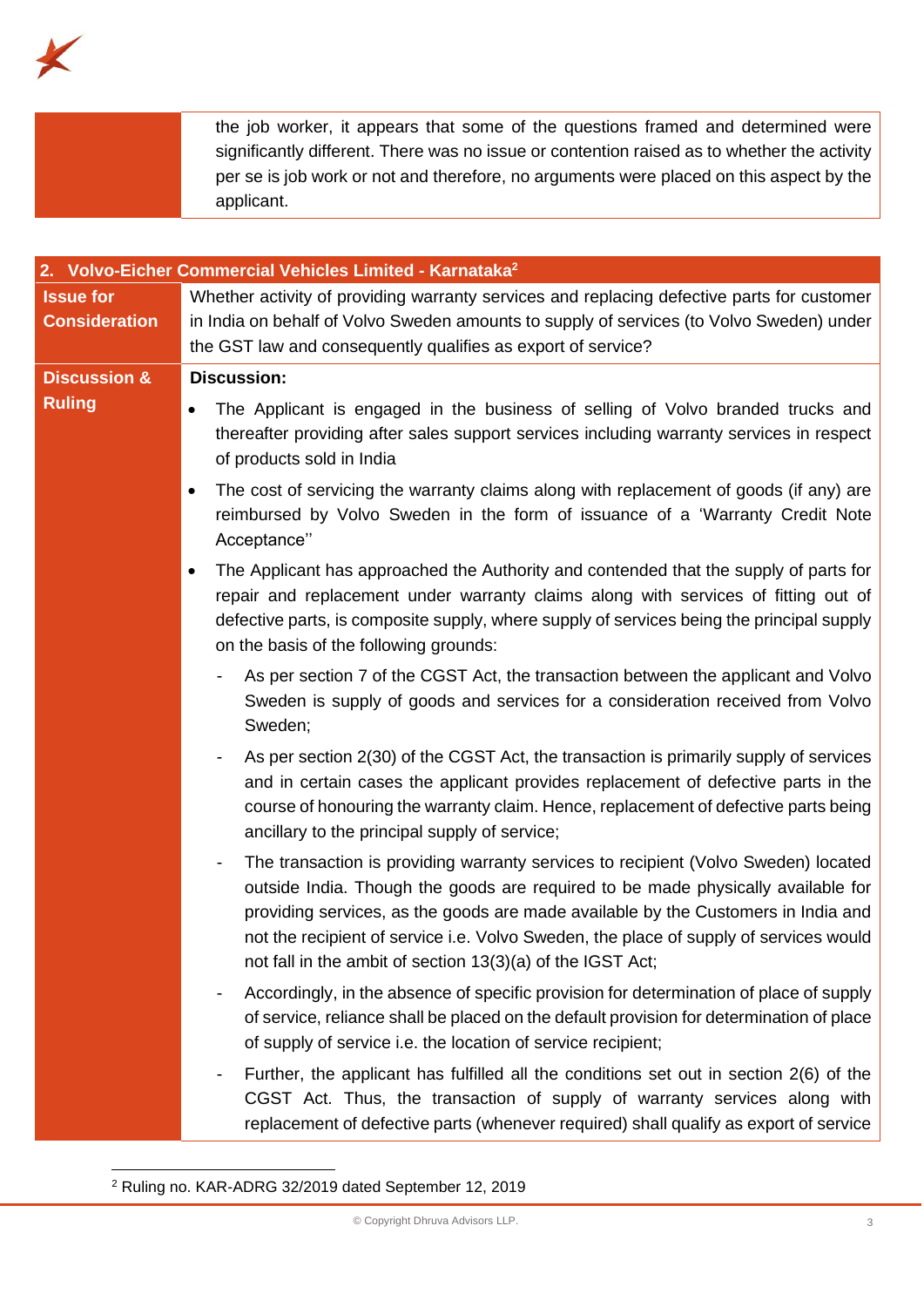

|                                          | significantly different. There was no issue or contention raised as to whether the activity<br>per se is job work or not and therefore, no arguments were placed on this aspect by the<br>applicant.                                                                                                                                                                                                               |
|------------------------------------------|--------------------------------------------------------------------------------------------------------------------------------------------------------------------------------------------------------------------------------------------------------------------------------------------------------------------------------------------------------------------------------------------------------------------|
|                                          |                                                                                                                                                                                                                                                                                                                                                                                                                    |
|                                          | 2. Volvo-Eicher Commercial Vehicles Limited - Karnataka <sup>2</sup>                                                                                                                                                                                                                                                                                                                                               |
| <b>Issue for</b><br><b>Consideration</b> | Whether activity of providing warranty services and replacing defective parts for customer<br>in India on behalf of Volvo Sweden amounts to supply of services (to Volvo Sweden) under<br>the GST law and consequently qualifies as export of service?                                                                                                                                                             |
| <b>Discussion &amp;</b>                  | <b>Discussion:</b>                                                                                                                                                                                                                                                                                                                                                                                                 |
| <b>Ruling</b>                            | The Applicant is engaged in the business of selling of Volvo branded trucks and<br>$\bullet$<br>thereafter providing after sales support services including warranty services in respect<br>of products sold in India                                                                                                                                                                                              |
|                                          | The cost of servicing the warranty claims along with replacement of goods (if any) are<br>٠<br>reimbursed by Volvo Sweden in the form of issuance of a 'Warranty Credit Note<br>Acceptance"                                                                                                                                                                                                                        |
|                                          | The Applicant has approached the Authority and contended that the supply of parts for<br>repair and replacement under warranty claims along with services of fitting out of<br>defective parts, is composite supply, where supply of services being the principal supply<br>on the basis of the following grounds:                                                                                                 |
|                                          | As per section 7 of the CGST Act, the transaction between the applicant and Volvo<br>Sweden is supply of goods and services for a consideration received from Volvo<br>Sweden;                                                                                                                                                                                                                                     |
|                                          | As per section 2(30) of the CGST Act, the transaction is primarily supply of services<br>and in certain cases the applicant provides replacement of defective parts in the<br>course of honouring the warranty claim. Hence, replacement of defective parts being<br>ancillary to the principal supply of service;                                                                                                 |
|                                          | The transaction is providing warranty services to recipient (Volvo Sweden) located<br>outside India. Though the goods are required to be made physically available for<br>providing services, as the goods are made available by the Customers in India and<br>not the recipient of service i.e. Volvo Sweden, the place of supply of services would<br>not fall in the ambit of section 13(3)(a) of the IGST Act; |
|                                          | Accordingly, in the absence of specific provision for determination of place of supply<br>of service, reliance shall be placed on the default provision for determination of place                                                                                                                                                                                                                                 |

the job worker, it appears that some of the questions framed and determined were

- Further, the applicant has fulfilled all the conditions set out in section 2(6) of the CGST Act. Thus, the transaction of supply of warranty services along with replacement of defective parts (whenever required) shall qualify as export of service

of supply of service i.e. the location of service recipient;

<sup>2</sup> Ruling no. KAR-ADRG 32/2019 dated September 12, 2019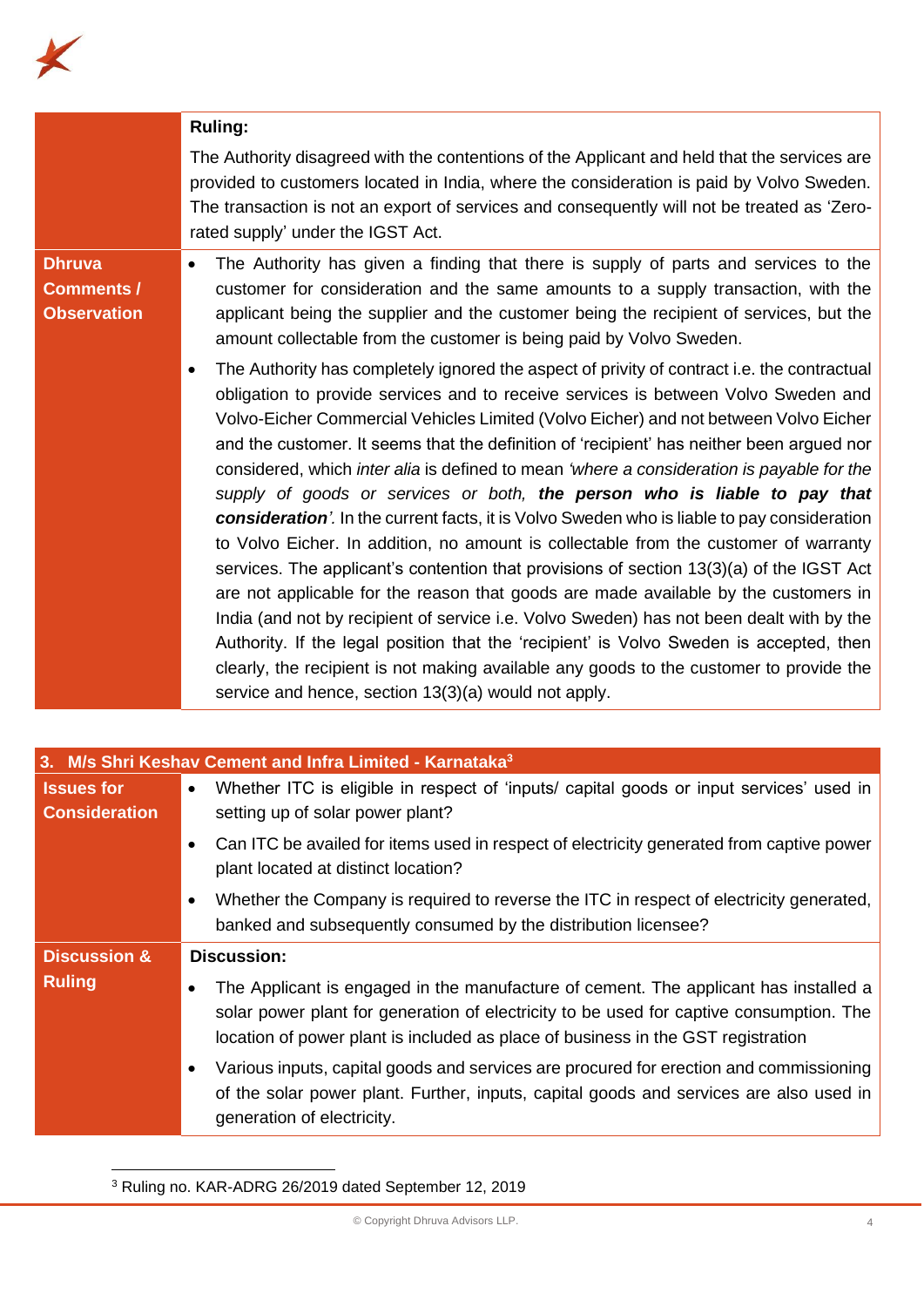|                                                          | <b>Ruling:</b>                                                                                                                                                                                                                                                                                                                                                                                                                                                                                                                                                                                                                                                                                                                                                                                                                                                                                                                                                                                                                                                                                                                                                                                                                                                       |
|----------------------------------------------------------|----------------------------------------------------------------------------------------------------------------------------------------------------------------------------------------------------------------------------------------------------------------------------------------------------------------------------------------------------------------------------------------------------------------------------------------------------------------------------------------------------------------------------------------------------------------------------------------------------------------------------------------------------------------------------------------------------------------------------------------------------------------------------------------------------------------------------------------------------------------------------------------------------------------------------------------------------------------------------------------------------------------------------------------------------------------------------------------------------------------------------------------------------------------------------------------------------------------------------------------------------------------------|
|                                                          | The Authority disagreed with the contentions of the Applicant and held that the services are<br>provided to customers located in India, where the consideration is paid by Volvo Sweden.<br>The transaction is not an export of services and consequently will not be treated as 'Zero-<br>rated supply' under the IGST Act.                                                                                                                                                                                                                                                                                                                                                                                                                                                                                                                                                                                                                                                                                                                                                                                                                                                                                                                                         |
| <b>Dhruva</b><br><b>Comments /</b><br><b>Observation</b> | The Authority has given a finding that there is supply of parts and services to the<br>customer for consideration and the same amounts to a supply transaction, with the<br>applicant being the supplier and the customer being the recipient of services, but the<br>amount collectable from the customer is being paid by Volvo Sweden.                                                                                                                                                                                                                                                                                                                                                                                                                                                                                                                                                                                                                                                                                                                                                                                                                                                                                                                            |
|                                                          | The Authority has completely ignored the aspect of privity of contract i.e. the contractual<br>obligation to provide services and to receive services is between Volvo Sweden and<br>Volvo-Eicher Commercial Vehicles Limited (Volvo Eicher) and not between Volvo Eicher<br>and the customer. It seems that the definition of 'recipient' has neither been argued nor<br>considered, which inter alia is defined to mean 'where a consideration is payable for the<br>supply of goods or services or both, the person who is liable to pay that<br>consideration'. In the current facts, it is Volvo Sweden who is liable to pay consideration<br>to Volvo Eicher. In addition, no amount is collectable from the customer of warranty<br>services. The applicant's contention that provisions of section 13(3)(a) of the IGST Act<br>are not applicable for the reason that goods are made available by the customers in<br>India (and not by recipient of service i.e. Volvo Sweden) has not been dealt with by the<br>Authority. If the legal position that the 'recipient' is Volvo Sweden is accepted, then<br>clearly, the recipient is not making available any goods to the customer to provide the<br>service and hence, section 13(3)(a) would not apply. |

K

| 3. M/s Shri Keshav Cement and Infra Limited - Karnataka <sup>3</sup> |                                                                                                                                                                                                                                                                     |
|----------------------------------------------------------------------|---------------------------------------------------------------------------------------------------------------------------------------------------------------------------------------------------------------------------------------------------------------------|
| <b>Issues for</b>                                                    | Whether ITC is eligible in respect of 'inputs/ capital goods or input services' used in<br>$\bullet$                                                                                                                                                                |
| <b>Consideration</b>                                                 | setting up of solar power plant?                                                                                                                                                                                                                                    |
|                                                                      | Can ITC be availed for items used in respect of electricity generated from captive power<br>plant located at distinct location?                                                                                                                                     |
|                                                                      | Whether the Company is required to reverse the ITC in respect of electricity generated,<br>banked and subsequently consumed by the distribution licensee?                                                                                                           |
| <b>Discussion &amp;</b>                                              | <b>Discussion:</b>                                                                                                                                                                                                                                                  |
| <b>Ruling</b>                                                        | The Applicant is engaged in the manufacture of cement. The applicant has installed a<br>solar power plant for generation of electricity to be used for captive consumption. The<br>location of power plant is included as place of business in the GST registration |
|                                                                      | Various inputs, capital goods and services are procured for erection and commissioning<br>of the solar power plant. Further, inputs, capital goods and services are also used in<br>generation of electricity.                                                      |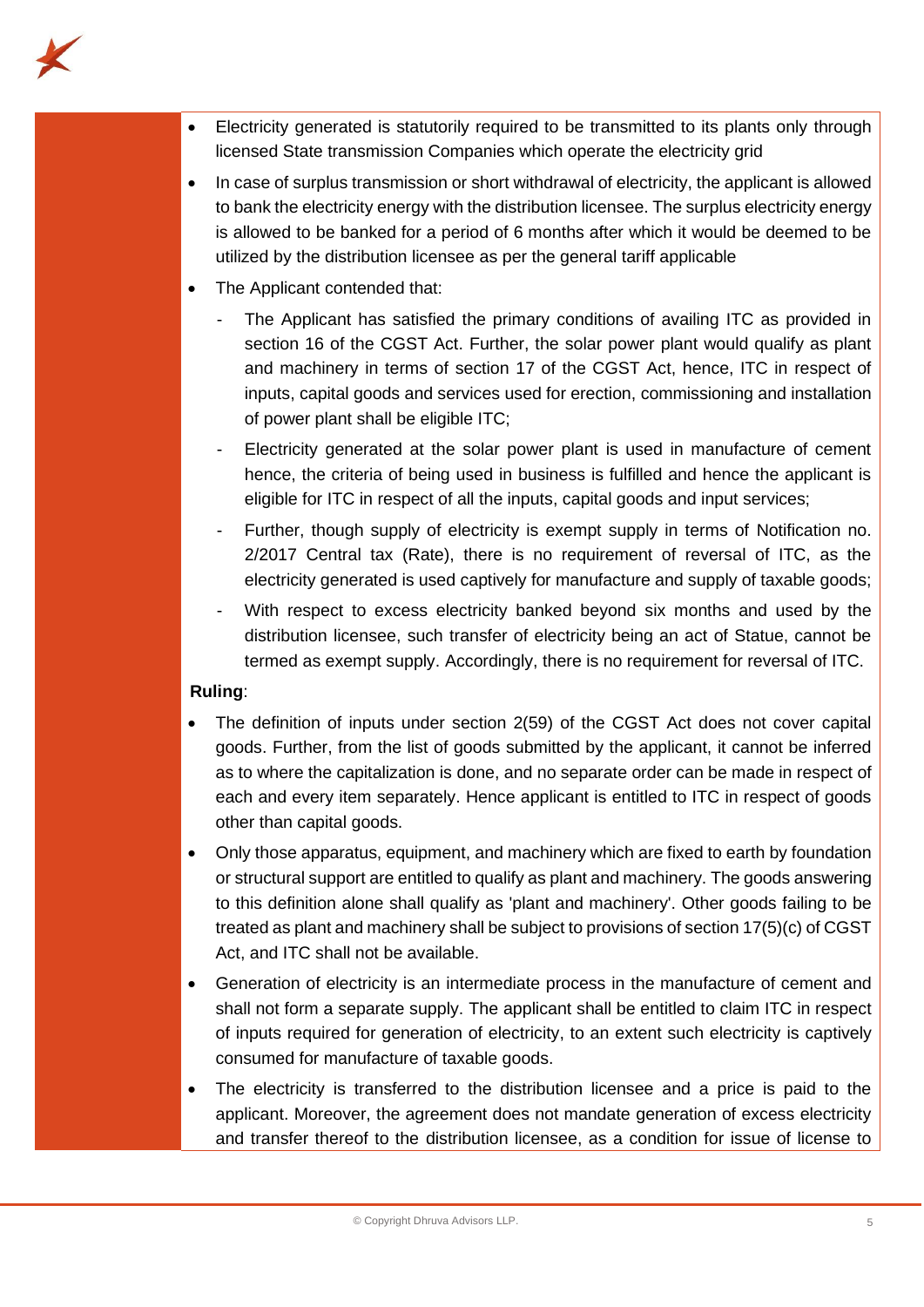- 
- Electricity generated is statutorily required to be transmitted to its plants only through licensed State transmission Companies which operate the electricity grid
- In case of surplus transmission or short withdrawal of electricity, the applicant is allowed to bank the electricity energy with the distribution licensee. The surplus electricity energy is allowed to be banked for a period of 6 months after which it would be deemed to be utilized by the distribution licensee as per the general tariff applicable
- The Applicant contended that:
	- The Applicant has satisfied the primary conditions of availing ITC as provided in section 16 of the CGST Act. Further, the solar power plant would qualify as plant and machinery in terms of section 17 of the CGST Act, hence, ITC in respect of inputs, capital goods and services used for erection, commissioning and installation of power plant shall be eligible ITC;
	- Electricity generated at the solar power plant is used in manufacture of cement hence, the criteria of being used in business is fulfilled and hence the applicant is eligible for ITC in respect of all the inputs, capital goods and input services;
	- Further, though supply of electricity is exempt supply in terms of Notification no. 2/2017 Central tax (Rate), there is no requirement of reversal of ITC, as the electricity generated is used captively for manufacture and supply of taxable goods;
	- With respect to excess electricity banked beyond six months and used by the distribution licensee, such transfer of electricity being an act of Statue, cannot be termed as exempt supply. Accordingly, there is no requirement for reversal of ITC.

# **Ruling**:

- The definition of inputs under section 2(59) of the CGST Act does not cover capital goods. Further, from the list of goods submitted by the applicant, it cannot be inferred as to where the capitalization is done, and no separate order can be made in respect of each and every item separately. Hence applicant is entitled to ITC in respect of goods other than capital goods.
- Only those apparatus, equipment, and machinery which are fixed to earth by foundation or structural support are entitled to qualify as plant and machinery. The goods answering to this definition alone shall qualify as 'plant and machinery'. Other goods failing to be treated as plant and machinery shall be subject to provisions of section 17(5)(c) of CGST Act, and ITC shall not be available.
- Generation of electricity is an intermediate process in the manufacture of cement and shall not form a separate supply. The applicant shall be entitled to claim ITC in respect of inputs required for generation of electricity, to an extent such electricity is captively consumed for manufacture of taxable goods.
- The electricity is transferred to the distribution licensee and a price is paid to the applicant. Moreover, the agreement does not mandate generation of excess electricity and transfer thereof to the distribution licensee, as a condition for issue of license to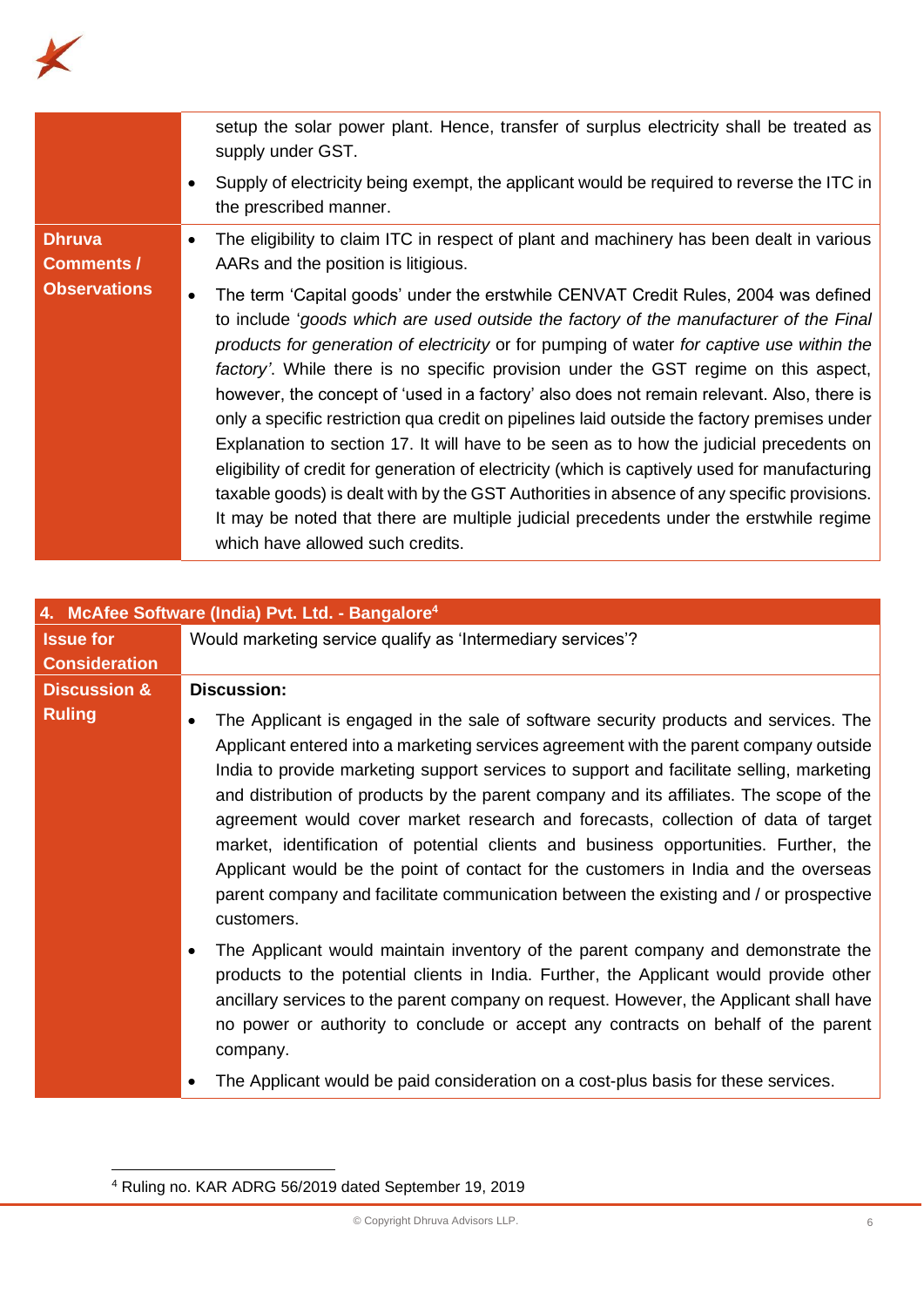

|                            | setup the solar power plant. Hence, transfer of surplus electricity shall be treated as<br>supply under GST.                                                                                                                                                                                                                                                                                                                                                                                                                                                                                                                                                                                                                                                                                                                                                                                                                                                                         |
|----------------------------|--------------------------------------------------------------------------------------------------------------------------------------------------------------------------------------------------------------------------------------------------------------------------------------------------------------------------------------------------------------------------------------------------------------------------------------------------------------------------------------------------------------------------------------------------------------------------------------------------------------------------------------------------------------------------------------------------------------------------------------------------------------------------------------------------------------------------------------------------------------------------------------------------------------------------------------------------------------------------------------|
|                            | Supply of electricity being exempt, the applicant would be required to reverse the ITC in<br>the prescribed manner.                                                                                                                                                                                                                                                                                                                                                                                                                                                                                                                                                                                                                                                                                                                                                                                                                                                                  |
| <b>Dhruva</b><br>$\bullet$ | The eligibility to claim ITC in respect of plant and machinery has been dealt in various                                                                                                                                                                                                                                                                                                                                                                                                                                                                                                                                                                                                                                                                                                                                                                                                                                                                                             |
| <b>Comments /</b>          | AARs and the position is litigious.                                                                                                                                                                                                                                                                                                                                                                                                                                                                                                                                                                                                                                                                                                                                                                                                                                                                                                                                                  |
| <b>Observations</b>        | The term 'Capital goods' under the erstwhile CENVAT Credit Rules, 2004 was defined<br>to include 'goods which are used outside the factory of the manufacturer of the Final<br>products for generation of electricity or for pumping of water for captive use within the<br>factory'. While there is no specific provision under the GST regime on this aspect,<br>however, the concept of 'used in a factory' also does not remain relevant. Also, there is<br>only a specific restriction qua credit on pipelines laid outside the factory premises under<br>Explanation to section 17. It will have to be seen as to how the judicial precedents on<br>eligibility of credit for generation of electricity (which is captively used for manufacturing<br>taxable goods) is dealt with by the GST Authorities in absence of any specific provisions.<br>It may be noted that there are multiple judicial precedents under the erstwhile regime<br>which have allowed such credits. |

|                         | 4. McAfee Software (India) Pvt. Ltd. - Bangalore <sup>4</sup>                                                                                                                                                                                                                                                                                                                                                                                                                                                                                                                                                                                                                                                                                   |
|-------------------------|-------------------------------------------------------------------------------------------------------------------------------------------------------------------------------------------------------------------------------------------------------------------------------------------------------------------------------------------------------------------------------------------------------------------------------------------------------------------------------------------------------------------------------------------------------------------------------------------------------------------------------------------------------------------------------------------------------------------------------------------------|
| <b>Issue for</b>        | Would marketing service qualify as 'Intermediary services'?                                                                                                                                                                                                                                                                                                                                                                                                                                                                                                                                                                                                                                                                                     |
| <b>Consideration</b>    |                                                                                                                                                                                                                                                                                                                                                                                                                                                                                                                                                                                                                                                                                                                                                 |
| <b>Discussion &amp;</b> | <b>Discussion:</b>                                                                                                                                                                                                                                                                                                                                                                                                                                                                                                                                                                                                                                                                                                                              |
| <b>Ruling</b>           | The Applicant is engaged in the sale of software security products and services. The<br>Applicant entered into a marketing services agreement with the parent company outside<br>India to provide marketing support services to support and facilitate selling, marketing<br>and distribution of products by the parent company and its affiliates. The scope of the<br>agreement would cover market research and forecasts, collection of data of target<br>market, identification of potential clients and business opportunities. Further, the<br>Applicant would be the point of contact for the customers in India and the overseas<br>parent company and facilitate communication between the existing and / or prospective<br>customers. |
|                         | The Applicant would maintain inventory of the parent company and demonstrate the<br>products to the potential clients in India. Further, the Applicant would provide other<br>ancillary services to the parent company on request. However, the Applicant shall have<br>no power or authority to conclude or accept any contracts on behalf of the parent<br>company.<br>The Applicant would be paid consideration on a cost-plus basis for these services.                                                                                                                                                                                                                                                                                     |
|                         |                                                                                                                                                                                                                                                                                                                                                                                                                                                                                                                                                                                                                                                                                                                                                 |

<sup>4</sup> Ruling no. KAR ADRG 56/2019 dated September 19, 2019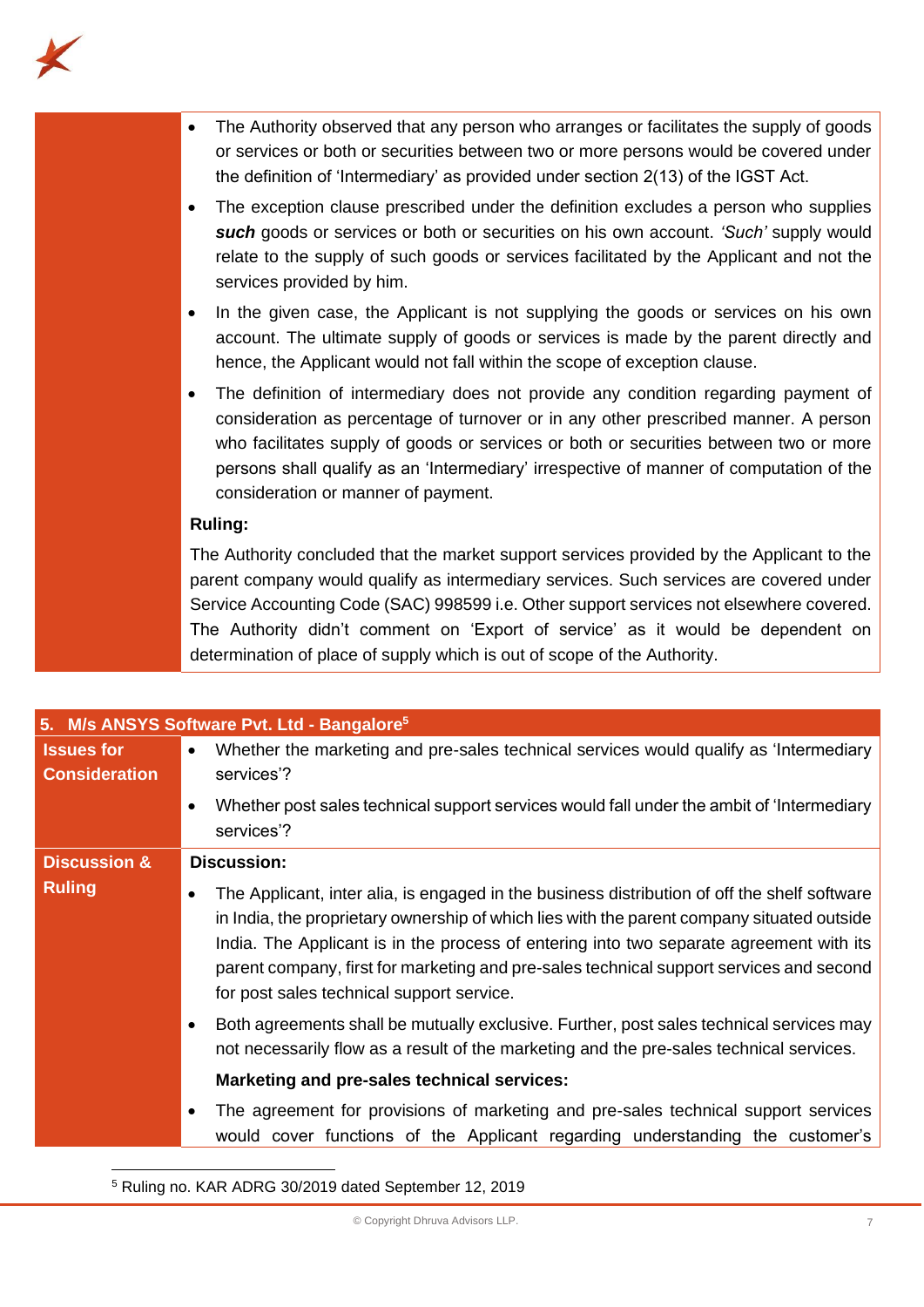

| The Authority observed that any person who arranges or facilitates the supply of goods<br>or services or both or securities between two or more persons would be covered under<br>the definition of 'Intermediary' as provided under section 2(13) of the IGST Act.                                                                                                                                                                           |
|-----------------------------------------------------------------------------------------------------------------------------------------------------------------------------------------------------------------------------------------------------------------------------------------------------------------------------------------------------------------------------------------------------------------------------------------------|
| The exception clause prescribed under the definition excludes a person who supplies<br>such goods or services or both or securities on his own account. 'Such' supply would<br>relate to the supply of such goods or services facilitated by the Applicant and not the<br>services provided by him.                                                                                                                                           |
| In the given case, the Applicant is not supplying the goods or services on his own<br>٠<br>account. The ultimate supply of goods or services is made by the parent directly and<br>hence, the Applicant would not fall within the scope of exception clause.                                                                                                                                                                                  |
| The definition of intermediary does not provide any condition regarding payment of<br>consideration as percentage of turnover or in any other prescribed manner. A person<br>who facilitates supply of goods or services or both or securities between two or more<br>persons shall qualify as an 'Intermediary' irrespective of manner of computation of the<br>consideration or manner of payment.                                          |
| <b>Ruling:</b>                                                                                                                                                                                                                                                                                                                                                                                                                                |
| The Authority concluded that the market support services provided by the Applicant to the<br>parent company would qualify as intermediary services. Such services are covered under<br>Service Accounting Code (SAC) 998599 i.e. Other support services not elsewhere covered.<br>The Authority didn't comment on 'Export of service' as it would be dependent on<br>determination of place of supply which is out of scope of the Authority. |
|                                                                                                                                                                                                                                                                                                                                                                                                                                               |

|                                           | 5. M/s ANSYS Software Pvt. Ltd - Bangalore <sup>5</sup>                                                                                                                                                                                                                                                                                                                                                                       |
|-------------------------------------------|-------------------------------------------------------------------------------------------------------------------------------------------------------------------------------------------------------------------------------------------------------------------------------------------------------------------------------------------------------------------------------------------------------------------------------|
| <b>Issues for</b><br><b>Consideration</b> | Whether the marketing and pre-sales technical services would qualify as 'Intermediary<br>$\bullet$<br>services'?                                                                                                                                                                                                                                                                                                              |
|                                           | Whether post sales technical support services would fall under the ambit of 'Intermediary<br>services'?                                                                                                                                                                                                                                                                                                                       |
| <b>Discussion &amp;</b>                   | <b>Discussion:</b>                                                                                                                                                                                                                                                                                                                                                                                                            |
| <b>Ruling</b>                             | The Applicant, inter alia, is engaged in the business distribution of off the shelf software<br>in India, the proprietary ownership of which lies with the parent company situated outside<br>India. The Applicant is in the process of entering into two separate agreement with its<br>parent company, first for marketing and pre-sales technical support services and second<br>for post sales technical support service. |
|                                           | Both agreements shall be mutually exclusive. Further, post sales technical services may<br>not necessarily flow as a result of the marketing and the pre-sales technical services.                                                                                                                                                                                                                                            |
|                                           | Marketing and pre-sales technical services:                                                                                                                                                                                                                                                                                                                                                                                   |
|                                           | The agreement for provisions of marketing and pre-sales technical support services<br>would cover functions of the Applicant regarding understanding the customer's                                                                                                                                                                                                                                                           |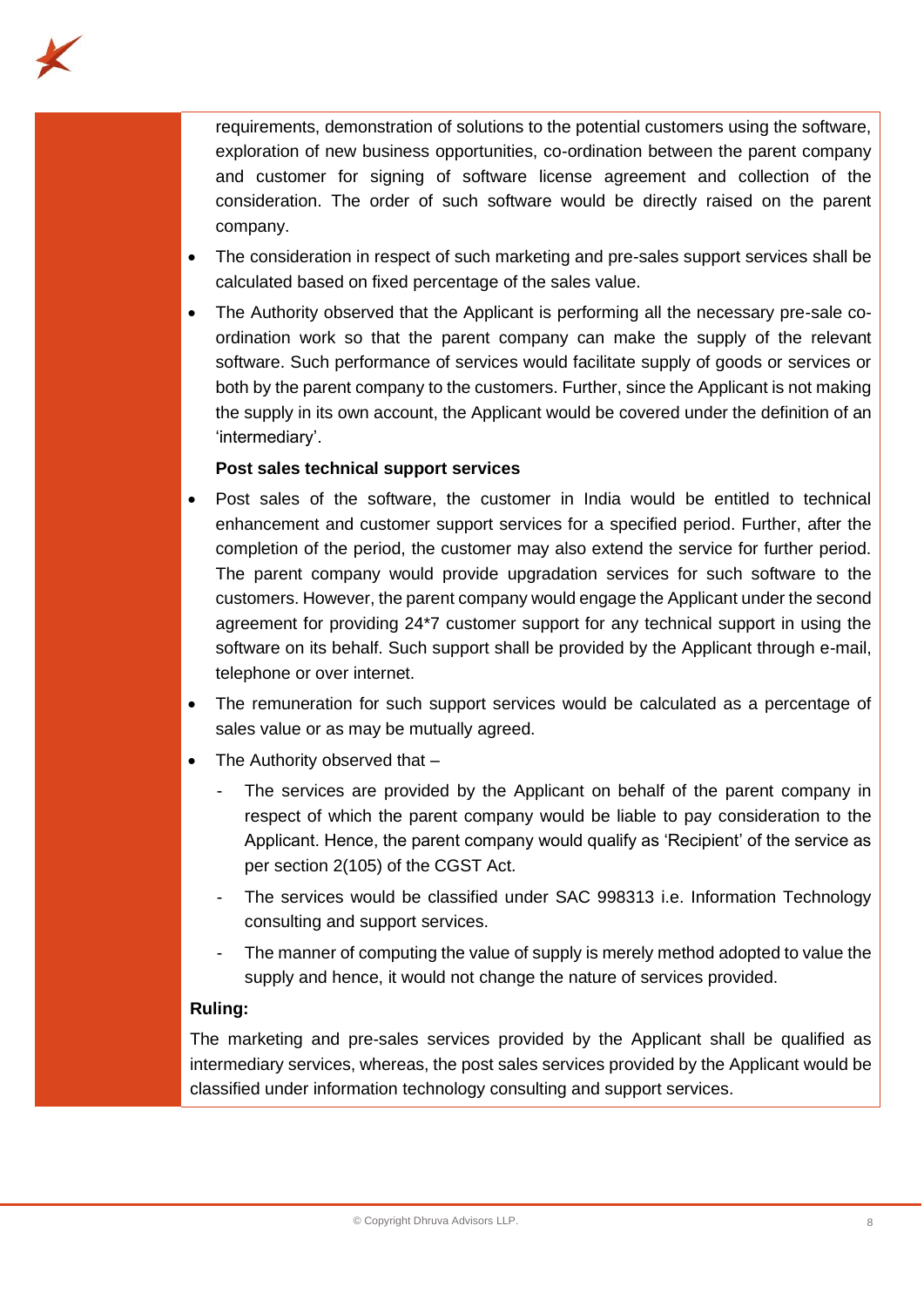

requirements, demonstration of solutions to the potential customers using the software, exploration of new business opportunities, co-ordination between the parent company and customer for signing of software license agreement and collection of the consideration. The order of such software would be directly raised on the parent company.

- The consideration in respect of such marketing and pre-sales support services shall be calculated based on fixed percentage of the sales value.
- The Authority observed that the Applicant is performing all the necessary pre-sale coordination work so that the parent company can make the supply of the relevant software. Such performance of services would facilitate supply of goods or services or both by the parent company to the customers. Further, since the Applicant is not making the supply in its own account, the Applicant would be covered under the definition of an 'intermediary'.

# **Post sales technical support services**

- Post sales of the software, the customer in India would be entitled to technical enhancement and customer support services for a specified period. Further, after the completion of the period, the customer may also extend the service for further period. The parent company would provide upgradation services for such software to the customers. However, the parent company would engage the Applicant under the second agreement for providing 24\*7 customer support for any technical support in using the software on its behalf. Such support shall be provided by the Applicant through e-mail, telephone or over internet.
- The remuneration for such support services would be calculated as a percentage of sales value or as may be mutually agreed.
- The Authority observed that -
	- The services are provided by the Applicant on behalf of the parent company in respect of which the parent company would be liable to pay consideration to the Applicant. Hence, the parent company would qualify as 'Recipient' of the service as per section 2(105) of the CGST Act.
	- The services would be classified under SAC 998313 i.e. Information Technology consulting and support services.
	- The manner of computing the value of supply is merely method adopted to value the supply and hence, it would not change the nature of services provided.

# **Ruling:**

The marketing and pre-sales services provided by the Applicant shall be qualified as intermediary services, whereas, the post sales services provided by the Applicant would be classified under information technology consulting and support services.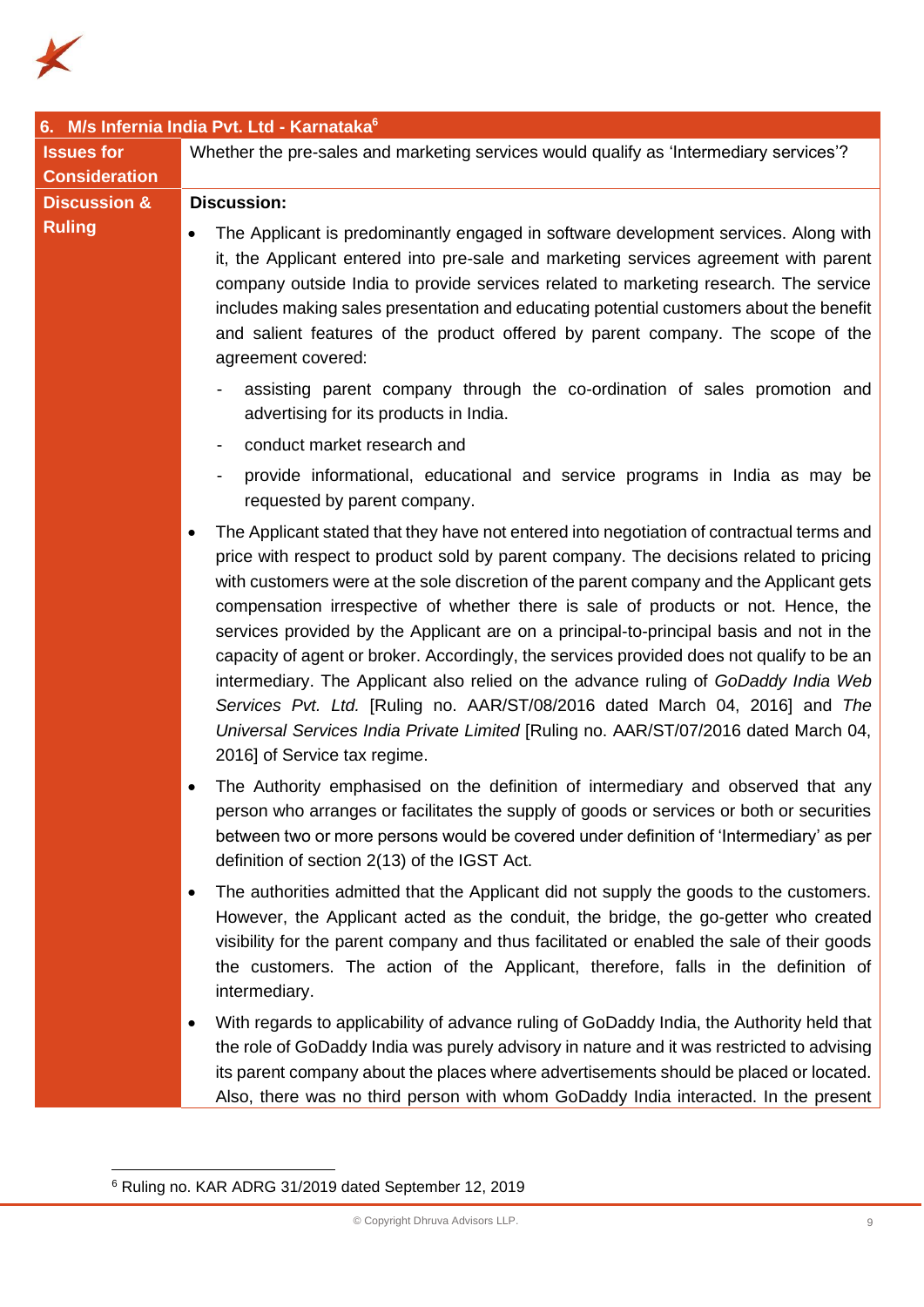

|                         | 6. M/s Infernia India Pvt. Ltd - Karnataka <sup>6</sup>                                                                                                                                                                                                                                                                                                                                                                                                                                                                                                                                                                                                                                                                                                                                                                                                 |
|-------------------------|---------------------------------------------------------------------------------------------------------------------------------------------------------------------------------------------------------------------------------------------------------------------------------------------------------------------------------------------------------------------------------------------------------------------------------------------------------------------------------------------------------------------------------------------------------------------------------------------------------------------------------------------------------------------------------------------------------------------------------------------------------------------------------------------------------------------------------------------------------|
| <b>Issues for</b>       | Whether the pre-sales and marketing services would qualify as 'Intermediary services'?                                                                                                                                                                                                                                                                                                                                                                                                                                                                                                                                                                                                                                                                                                                                                                  |
| <b>Consideration</b>    |                                                                                                                                                                                                                                                                                                                                                                                                                                                                                                                                                                                                                                                                                                                                                                                                                                                         |
| <b>Discussion &amp;</b> | <b>Discussion:</b>                                                                                                                                                                                                                                                                                                                                                                                                                                                                                                                                                                                                                                                                                                                                                                                                                                      |
| <b>Ruling</b>           | The Applicant is predominantly engaged in software development services. Along with<br>it, the Applicant entered into pre-sale and marketing services agreement with parent<br>company outside India to provide services related to marketing research. The service<br>includes making sales presentation and educating potential customers about the benefit<br>and salient features of the product offered by parent company. The scope of the<br>agreement covered:                                                                                                                                                                                                                                                                                                                                                                                  |
|                         | assisting parent company through the co-ordination of sales promotion and<br>advertising for its products in India.                                                                                                                                                                                                                                                                                                                                                                                                                                                                                                                                                                                                                                                                                                                                     |
|                         | conduct market research and<br>-                                                                                                                                                                                                                                                                                                                                                                                                                                                                                                                                                                                                                                                                                                                                                                                                                        |
|                         | provide informational, educational and service programs in India as may be<br>requested by parent company.                                                                                                                                                                                                                                                                                                                                                                                                                                                                                                                                                                                                                                                                                                                                              |
|                         | The Applicant stated that they have not entered into negotiation of contractual terms and<br>price with respect to product sold by parent company. The decisions related to pricing<br>with customers were at the sole discretion of the parent company and the Applicant gets<br>compensation irrespective of whether there is sale of products or not. Hence, the<br>services provided by the Applicant are on a principal-to-principal basis and not in the<br>capacity of agent or broker. Accordingly, the services provided does not qualify to be an<br>intermediary. The Applicant also relied on the advance ruling of GoDaddy India Web<br>Services Pvt. Ltd. [Ruling no. AAR/ST/08/2016 dated March 04, 2016] and The<br>Universal Services India Private Limited [Ruling no. AAR/ST/07/2016 dated March 04,<br>2016] of Service tax regime. |
|                         | The Authority emphasised on the definition of intermediary and observed that any<br>person who arranges or facilitates the supply of goods or services or both or securities<br>between two or more persons would be covered under definition of 'Intermediary' as per<br>definition of section 2(13) of the IGST Act.                                                                                                                                                                                                                                                                                                                                                                                                                                                                                                                                  |
|                         | The authorities admitted that the Applicant did not supply the goods to the customers.<br>However, the Applicant acted as the conduit, the bridge, the go-getter who created<br>visibility for the parent company and thus facilitated or enabled the sale of their goods<br>the customers. The action of the Applicant, therefore, falls in the definition of<br>intermediary.                                                                                                                                                                                                                                                                                                                                                                                                                                                                         |
|                         | With regards to applicability of advance ruling of GoDaddy India, the Authority held that<br>the role of GoDaddy India was purely advisory in nature and it was restricted to advising<br>its parent company about the places where advertisements should be placed or located.<br>Also, there was no third person with whom GoDaddy India interacted. In the present                                                                                                                                                                                                                                                                                                                                                                                                                                                                                   |

<sup>6</sup> Ruling no. KAR ADRG 31/2019 dated September 12, 2019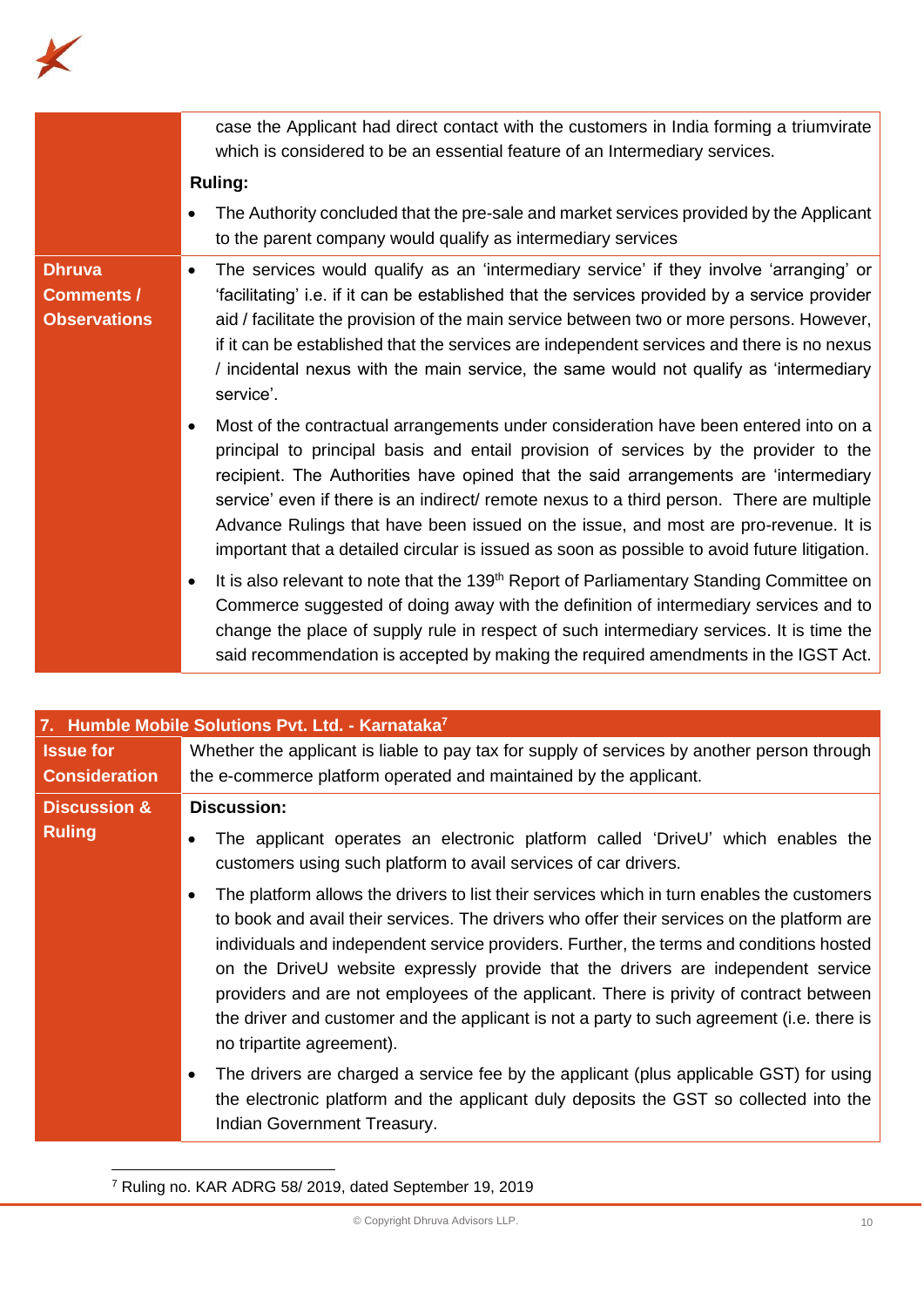

|                                                           | case the Applicant had direct contact with the customers in India forming a triumvirate<br>which is considered to be an essential feature of an Intermediary services.                                                                                                                                                                                                                                                                                                                                                                                       |
|-----------------------------------------------------------|--------------------------------------------------------------------------------------------------------------------------------------------------------------------------------------------------------------------------------------------------------------------------------------------------------------------------------------------------------------------------------------------------------------------------------------------------------------------------------------------------------------------------------------------------------------|
|                                                           | <b>Ruling:</b>                                                                                                                                                                                                                                                                                                                                                                                                                                                                                                                                               |
|                                                           | The Authority concluded that the pre-sale and market services provided by the Applicant<br>to the parent company would qualify as intermediary services                                                                                                                                                                                                                                                                                                                                                                                                      |
| <b>Dhruva</b><br><b>Comments /</b><br><b>Observations</b> | The services would qualify as an 'intermediary service' if they involve 'arranging' or<br>'facilitating' i.e. if it can be established that the services provided by a service provider<br>aid / facilitate the provision of the main service between two or more persons. However,<br>if it can be established that the services are independent services and there is no nexus<br>/ incidental nexus with the main service, the same would not qualify as 'intermediary<br>service'.                                                                       |
|                                                           | Most of the contractual arrangements under consideration have been entered into on a<br>٠<br>principal to principal basis and entail provision of services by the provider to the<br>recipient. The Authorities have opined that the said arrangements are 'intermediary<br>service' even if there is an indirect/ remote nexus to a third person. There are multiple<br>Advance Rulings that have been issued on the issue, and most are pro-revenue. It is<br>important that a detailed circular is issued as soon as possible to avoid future litigation. |
|                                                           | It is also relevant to note that the 139 <sup>th</sup> Report of Parliamentary Standing Committee on<br>Commerce suggested of doing away with the definition of intermediary services and to<br>change the place of supply rule in respect of such intermediary services. It is time the<br>said recommendation is accepted by making the required amendments in the IGST Act.                                                                                                                                                                               |

| 7. Humble Mobile Solutions Pvt. Ltd. - Karnataka <sup>7</sup> |                                                                                                                                                                                                                                                                                                                                                                                                                                                                                                                                                                                                                                                                                                                                            |
|---------------------------------------------------------------|--------------------------------------------------------------------------------------------------------------------------------------------------------------------------------------------------------------------------------------------------------------------------------------------------------------------------------------------------------------------------------------------------------------------------------------------------------------------------------------------------------------------------------------------------------------------------------------------------------------------------------------------------------------------------------------------------------------------------------------------|
| <b>Issue for</b><br><b>Consideration</b>                      | Whether the applicant is liable to pay tax for supply of services by another person through<br>the e-commerce platform operated and maintained by the applicant.                                                                                                                                                                                                                                                                                                                                                                                                                                                                                                                                                                           |
| <b>Discussion &amp;</b><br><b>Ruling</b>                      | <b>Discussion:</b><br>The applicant operates an electronic platform called 'DriveU' which enables the<br>customers using such platform to avail services of car drivers.<br>The platform allows the drivers to list their services which in turn enables the customers<br>to book and avail their services. The drivers who offer their services on the platform are<br>individuals and independent service providers. Further, the terms and conditions hosted<br>on the DriveU website expressly provide that the drivers are independent service<br>providers and are not employees of the applicant. There is privity of contract between<br>the driver and customer and the applicant is not a party to such agreement (i.e. there is |
|                                                               | no tripartite agreement).<br>The drivers are charged a service fee by the applicant (plus applicable GST) for using<br>the electronic platform and the applicant duly deposits the GST so collected into the<br>Indian Government Treasury.                                                                                                                                                                                                                                                                                                                                                                                                                                                                                                |

<sup>7</sup> Ruling no. KAR ADRG 58/ 2019, dated September 19, 2019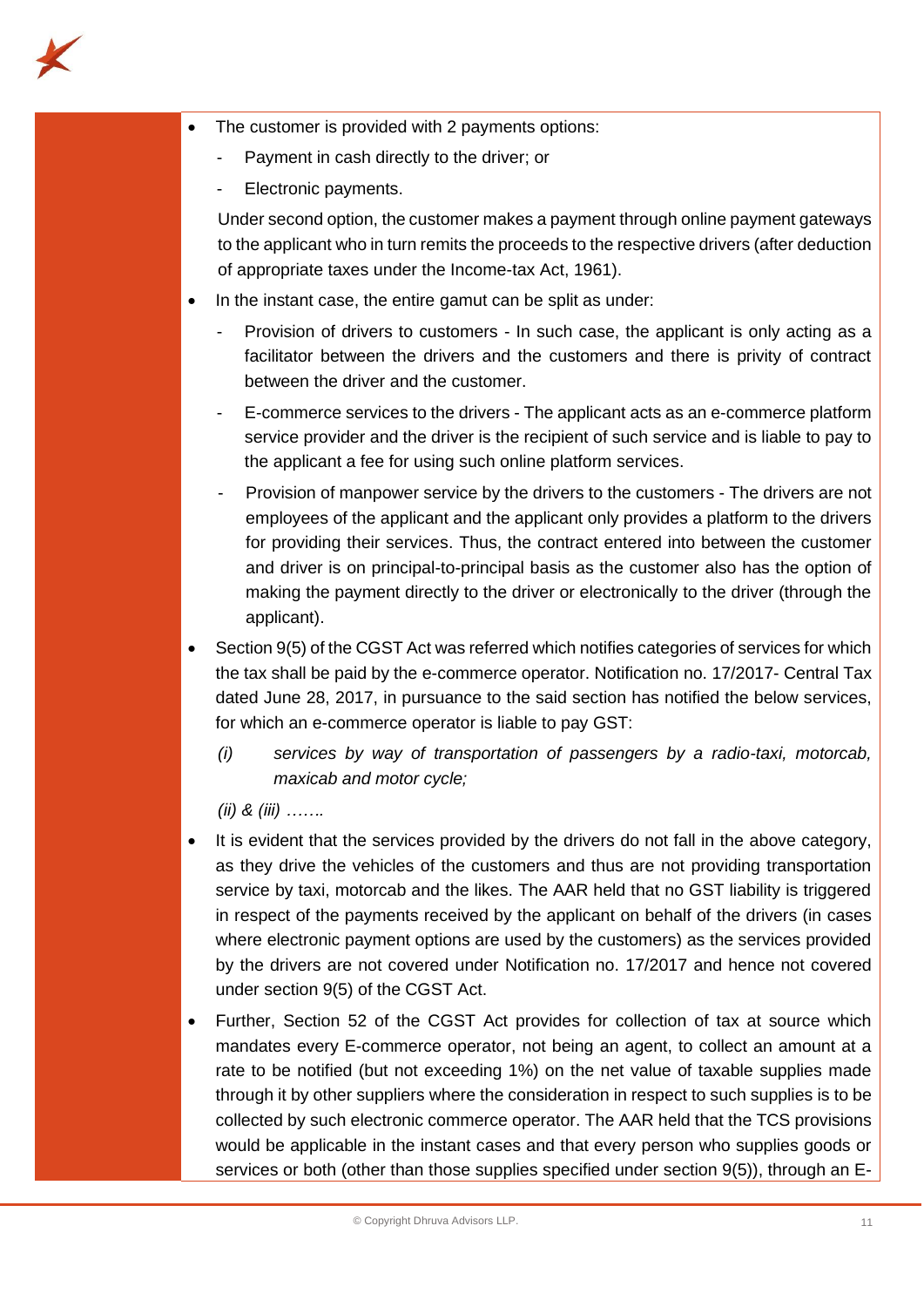

- The customer is provided with 2 payments options:
	- Payment in cash directly to the driver; or
	- Electronic payments.

Under second option, the customer makes a payment through online payment gateways to the applicant who in turn remits the proceeds to the respective drivers (after deduction of appropriate taxes under the Income-tax Act, 1961).

- In the instant case, the entire gamut can be split as under:
	- Provision of drivers to customers In such case, the applicant is only acting as a facilitator between the drivers and the customers and there is privity of contract between the driver and the customer.
	- E-commerce services to the drivers The applicant acts as an e-commerce platform service provider and the driver is the recipient of such service and is liable to pay to the applicant a fee for using such online platform services.
	- Provision of manpower service by the drivers to the customers The drivers are not employees of the applicant and the applicant only provides a platform to the drivers for providing their services. Thus, the contract entered into between the customer and driver is on principal-to-principal basis as the customer also has the option of making the payment directly to the driver or electronically to the driver (through the applicant).
- Section 9(5) of the CGST Act was referred which notifies categories of services for which the tax shall be paid by the e-commerce operator. Notification no. 17/2017- Central Tax dated June 28, 2017, in pursuance to the said section has notified the below services, for which an e-commerce operator is liable to pay GST:
	- *(i) services by way of transportation of passengers by a radio-taxi, motorcab, maxicab and motor cycle;*

*(ii) & (iii) …….*

- It is evident that the services provided by the drivers do not fall in the above category, as they drive the vehicles of the customers and thus are not providing transportation service by taxi, motorcab and the likes. The AAR held that no GST liability is triggered in respect of the payments received by the applicant on behalf of the drivers (in cases where electronic payment options are used by the customers) as the services provided by the drivers are not covered under Notification no. 17/2017 and hence not covered under section 9(5) of the CGST Act.
- Further, Section 52 of the CGST Act provides for collection of tax at source which mandates every E-commerce operator, not being an agent, to collect an amount at a rate to be notified (but not exceeding 1%) on the net value of taxable supplies made through it by other suppliers where the consideration in respect to such supplies is to be collected by such electronic commerce operator. The AAR held that the TCS provisions would be applicable in the instant cases and that every person who supplies goods or services or both (other than those supplies specified under section 9(5)), through an E-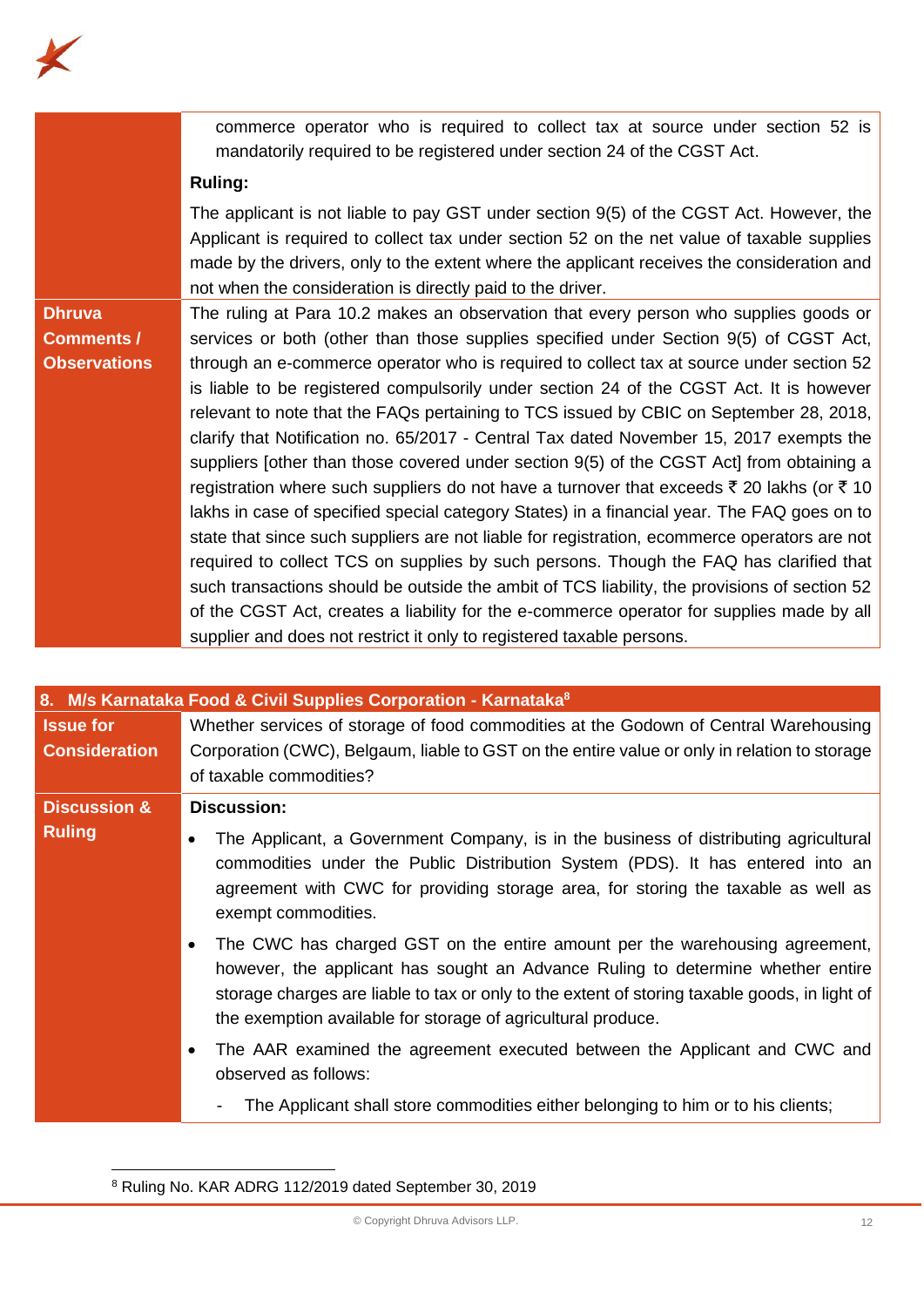

commerce operator who is required to collect tax at source under section 52 is mandatorily required to be registered under section 24 of the CGST Act.

## **Ruling:**

The applicant is not liable to pay GST under section 9(5) of the CGST Act. However, the Applicant is required to collect tax under section 52 on the net value of taxable supplies made by the drivers, only to the extent where the applicant receives the consideration and not when the consideration is directly paid to the driver.

# **Dhruva Comments / Observations**

The ruling at Para 10.2 makes an observation that every person who supplies goods or services or both (other than those supplies specified under Section 9(5) of CGST Act, through an e-commerce operator who is required to collect tax at source under section 52 is liable to be registered compulsorily under section 24 of the CGST Act. It is however relevant to note that the FAQs pertaining to TCS issued by CBIC on September 28, 2018, clarify that Notification no. 65/2017 - Central Tax dated November 15, 2017 exempts the suppliers [other than those covered under section 9(5) of the CGST Act] from obtaining a registration where such suppliers do not have a turnover that exceeds  $\bar{\tau}$  20 lakhs (or  $\bar{\tau}$  10 lakhs in case of specified special category States) in a financial year. The FAQ goes on to state that since such suppliers are not liable for registration, ecommerce operators are not required to collect TCS on supplies by such persons. Though the FAQ has clarified that such transactions should be outside the ambit of TCS liability, the provisions of section 52 of the CGST Act, creates a liability for the e-commerce operator for supplies made by all supplier and does not restrict it only to registered taxable persons.

|                                          | 8. M/s Karnataka Food & Civil Supplies Corporation - Karnataka <sup>8</sup>                                                                                                                                                                                                                                                                  |
|------------------------------------------|----------------------------------------------------------------------------------------------------------------------------------------------------------------------------------------------------------------------------------------------------------------------------------------------------------------------------------------------|
| <b>Issue for</b><br><b>Consideration</b> | Whether services of storage of food commodities at the Godown of Central Warehousing<br>Corporation (CWC), Belgaum, liable to GST on the entire value or only in relation to storage<br>of taxable commodities?                                                                                                                              |
| <b>Discussion &amp;</b>                  | <b>Discussion:</b>                                                                                                                                                                                                                                                                                                                           |
| <b>Ruling</b>                            | The Applicant, a Government Company, is in the business of distributing agricultural<br>$\bullet$<br>commodities under the Public Distribution System (PDS). It has entered into an<br>agreement with CWC for providing storage area, for storing the taxable as well as<br>exempt commodities.                                              |
|                                          | The CWC has charged GST on the entire amount per the warehousing agreement,<br>$\bullet$<br>however, the applicant has sought an Advance Ruling to determine whether entire<br>storage charges are liable to tax or only to the extent of storing taxable goods, in light of<br>the exemption available for storage of agricultural produce. |
|                                          | The AAR examined the agreement executed between the Applicant and CWC and<br>$\bullet$<br>observed as follows:                                                                                                                                                                                                                               |
|                                          | The Applicant shall store commodities either belonging to him or to his clients;                                                                                                                                                                                                                                                             |

<sup>8</sup> Ruling No. KAR ADRG 112/2019 dated September 30, 2019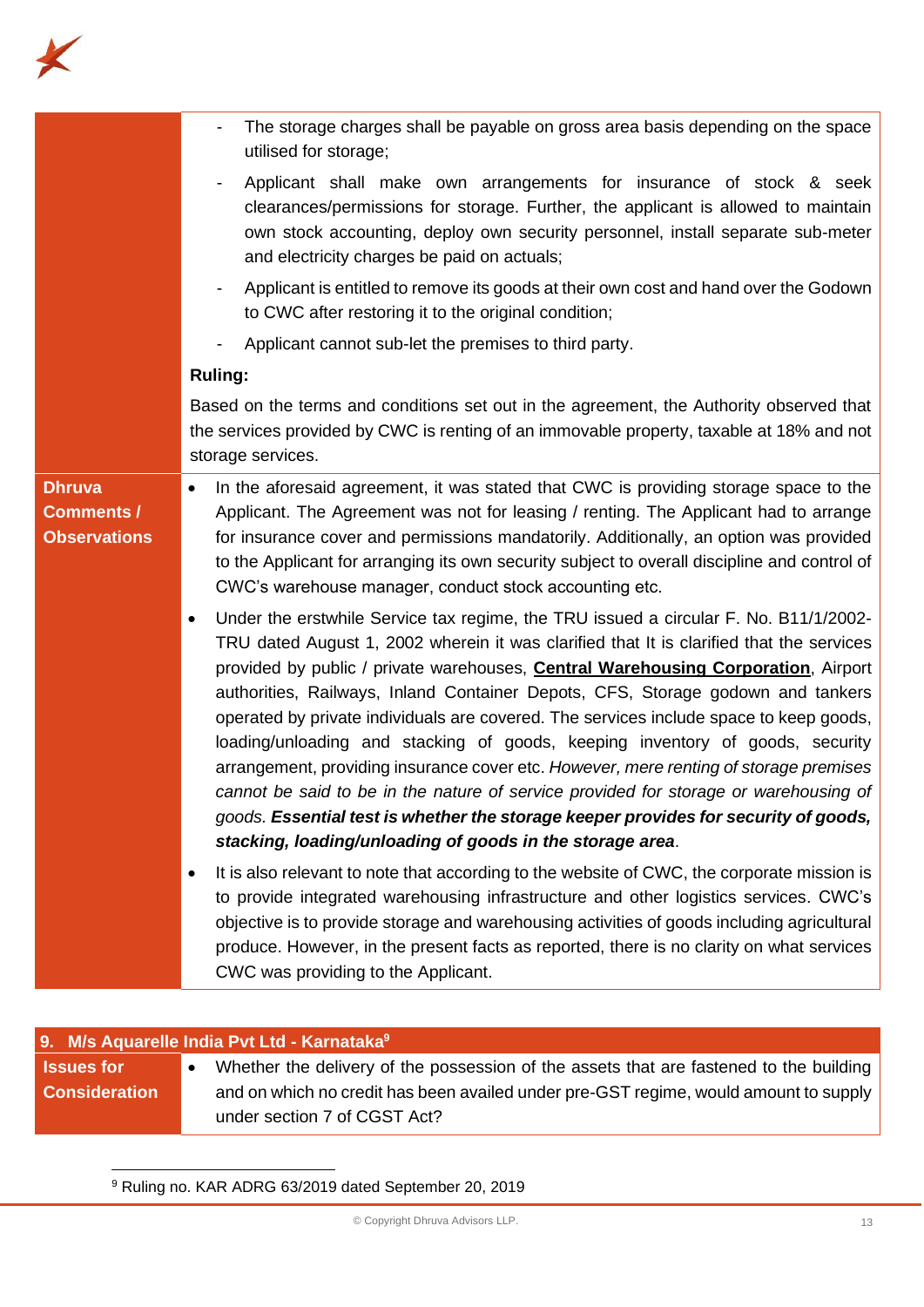

|                                                           | The storage charges shall be payable on gross area basis depending on the space<br>utilised for storage;                                                                                                                                                                                                                                                                                                                                                                                                                                                                                                                                                                                                                                                                                                                                                                         |
|-----------------------------------------------------------|----------------------------------------------------------------------------------------------------------------------------------------------------------------------------------------------------------------------------------------------------------------------------------------------------------------------------------------------------------------------------------------------------------------------------------------------------------------------------------------------------------------------------------------------------------------------------------------------------------------------------------------------------------------------------------------------------------------------------------------------------------------------------------------------------------------------------------------------------------------------------------|
|                                                           | Applicant shall make own arrangements for insurance of stock & seek<br>clearances/permissions for storage. Further, the applicant is allowed to maintain<br>own stock accounting, deploy own security personnel, install separate sub-meter<br>and electricity charges be paid on actuals;                                                                                                                                                                                                                                                                                                                                                                                                                                                                                                                                                                                       |
|                                                           | Applicant is entitled to remove its goods at their own cost and hand over the Godown<br>$\overline{\phantom{a}}$<br>to CWC after restoring it to the original condition;                                                                                                                                                                                                                                                                                                                                                                                                                                                                                                                                                                                                                                                                                                         |
|                                                           | Applicant cannot sub-let the premises to third party.                                                                                                                                                                                                                                                                                                                                                                                                                                                                                                                                                                                                                                                                                                                                                                                                                            |
|                                                           | <b>Ruling:</b>                                                                                                                                                                                                                                                                                                                                                                                                                                                                                                                                                                                                                                                                                                                                                                                                                                                                   |
|                                                           | Based on the terms and conditions set out in the agreement, the Authority observed that<br>the services provided by CWC is renting of an immovable property, taxable at 18% and not<br>storage services.                                                                                                                                                                                                                                                                                                                                                                                                                                                                                                                                                                                                                                                                         |
| <b>Dhruva</b><br><b>Comments /</b><br><b>Observations</b> | In the aforesaid agreement, it was stated that CWC is providing storage space to the<br>$\bullet$<br>Applicant. The Agreement was not for leasing / renting. The Applicant had to arrange<br>for insurance cover and permissions mandatorily. Additionally, an option was provided<br>to the Applicant for arranging its own security subject to overall discipline and control of<br>CWC's warehouse manager, conduct stock accounting etc.                                                                                                                                                                                                                                                                                                                                                                                                                                     |
|                                                           | Under the erstwhile Service tax regime, the TRU issued a circular F. No. B11/1/2002-<br>TRU dated August 1, 2002 wherein it was clarified that It is clarified that the services<br>provided by public / private warehouses, <b>Central Warehousing Corporation</b> , Airport<br>authorities, Railways, Inland Container Depots, CFS, Storage godown and tankers<br>operated by private individuals are covered. The services include space to keep goods,<br>loading/unloading and stacking of goods, keeping inventory of goods, security<br>arrangement, providing insurance cover etc. However, mere renting of storage premises<br>cannot be said to be in the nature of service provided for storage or warehousing of<br>goods. Essential test is whether the storage keeper provides for security of goods,<br>stacking, loading/unloading of goods in the storage area. |
|                                                           | It is also relevant to note that according to the website of CWC, the corporate mission is<br>to provide integrated warehousing infrastructure and other logistics services. CWC's<br>objective is to provide storage and warehousing activities of goods including agricultural<br>produce. However, in the present facts as reported, there is no clarity on what services<br>CWC was providing to the Applicant.                                                                                                                                                                                                                                                                                                                                                                                                                                                              |

| 9. M/s Aquarelle India Pvt Ltd - Karnataka <sup>9</sup> |                                                                                        |
|---------------------------------------------------------|----------------------------------------------------------------------------------------|
| <b>Issues for</b>                                       | Whether the delivery of the possession of the assets that are fastened to the building |
| <b>Consideration</b>                                    | and on which no credit has been availed under pre-GST regime, would amount to supply   |
|                                                         | under section 7 of CGST Act?                                                           |

<sup>9</sup> Ruling no. KAR ADRG 63/2019 dated September 20, 2019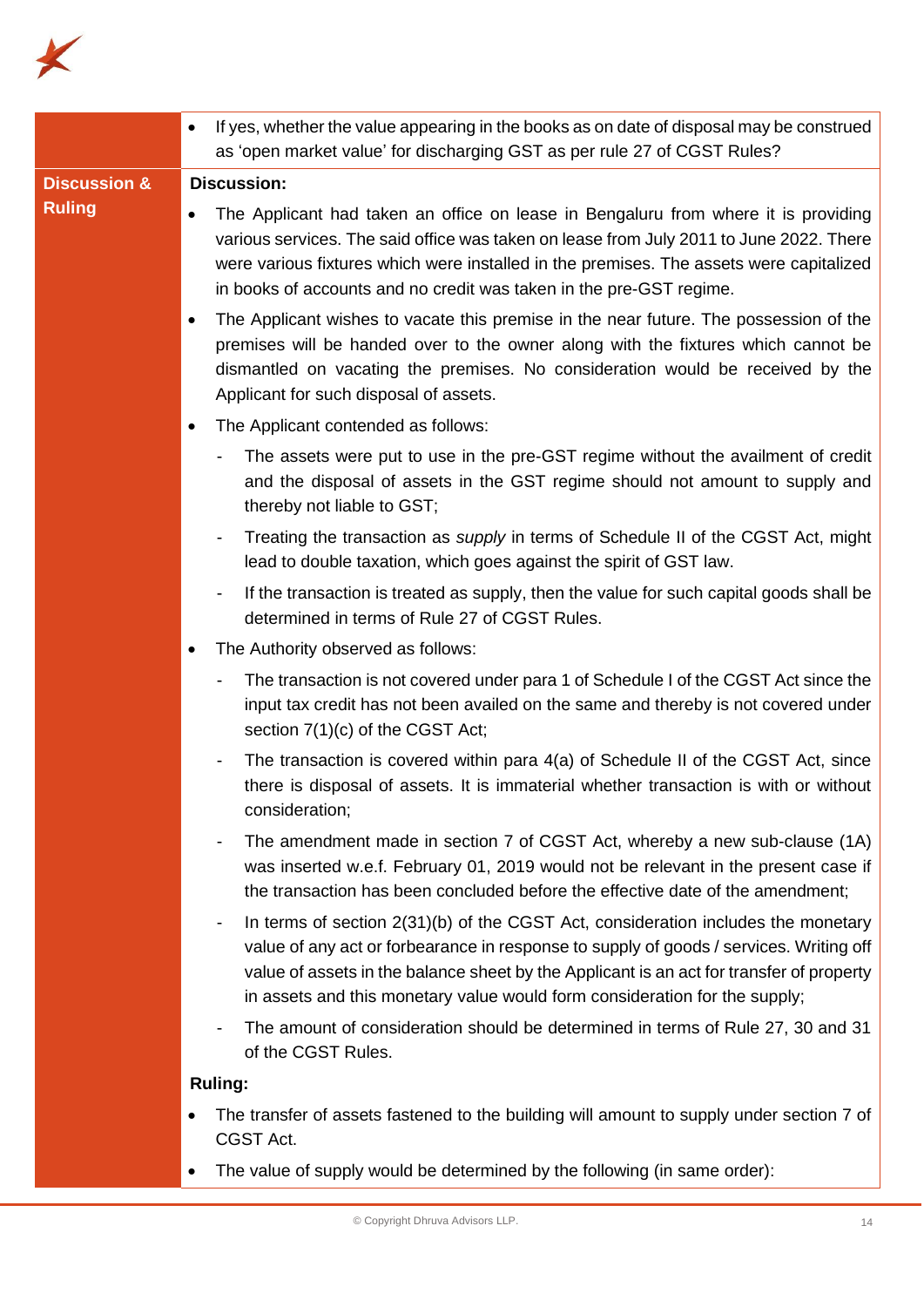

|                         | If yes, whether the value appearing in the books as on date of disposal may be construed<br>$\bullet$<br>as 'open market value' for discharging GST as per rule 27 of CGST Rules?                                                                                                                                                                            |
|-------------------------|--------------------------------------------------------------------------------------------------------------------------------------------------------------------------------------------------------------------------------------------------------------------------------------------------------------------------------------------------------------|
| <b>Discussion &amp;</b> | <b>Discussion:</b>                                                                                                                                                                                                                                                                                                                                           |
| <b>Ruling</b>           | The Applicant had taken an office on lease in Bengaluru from where it is providing<br>$\bullet$<br>various services. The said office was taken on lease from July 2011 to June 2022. There<br>were various fixtures which were installed in the premises. The assets were capitalized<br>in books of accounts and no credit was taken in the pre-GST regime. |
|                         | The Applicant wishes to vacate this premise in the near future. The possession of the<br>$\bullet$<br>premises will be handed over to the owner along with the fixtures which cannot be<br>dismantled on vacating the premises. No consideration would be received by the<br>Applicant for such disposal of assets.                                          |
|                         | The Applicant contended as follows:                                                                                                                                                                                                                                                                                                                          |
|                         | The assets were put to use in the pre-GST regime without the availment of credit<br>and the disposal of assets in the GST regime should not amount to supply and<br>thereby not liable to GST;                                                                                                                                                               |
|                         | Treating the transaction as <i>supply</i> in terms of Schedule II of the CGST Act, might<br>$\blacksquare$<br>lead to double taxation, which goes against the spirit of GST law.                                                                                                                                                                             |
|                         | If the transaction is treated as supply, then the value for such capital goods shall be<br>$\overline{\phantom{a}}$<br>determined in terms of Rule 27 of CGST Rules.                                                                                                                                                                                         |
|                         | The Authority observed as follows:                                                                                                                                                                                                                                                                                                                           |
|                         | The transaction is not covered under para 1 of Schedule I of the CGST Act since the<br>input tax credit has not been availed on the same and thereby is not covered under<br>section 7(1)(c) of the CGST Act;                                                                                                                                                |
|                         | The transaction is covered within para 4(a) of Schedule II of the CGST Act, since<br>there is disposal of assets. It is immaterial whether transaction is with or without<br>consideration;                                                                                                                                                                  |
|                         | The amendment made in section 7 of CGST Act, whereby a new sub-clause (1A)<br>was inserted w.e.f. February 01, 2019 would not be relevant in the present case if<br>the transaction has been concluded before the effective date of the amendment;                                                                                                           |
|                         | In terms of section 2(31)(b) of the CGST Act, consideration includes the monetary<br>value of any act or forbearance in response to supply of goods / services. Writing off<br>value of assets in the balance sheet by the Applicant is an act for transfer of property<br>in assets and this monetary value would form consideration for the supply;        |
|                         | The amount of consideration should be determined in terms of Rule 27, 30 and 31<br>of the CGST Rules.                                                                                                                                                                                                                                                        |
|                         | <b>Ruling:</b>                                                                                                                                                                                                                                                                                                                                               |
|                         | The transfer of assets fastened to the building will amount to supply under section 7 of<br>CGST Act.                                                                                                                                                                                                                                                        |
|                         | The value of supply would be determined by the following (in same order):                                                                                                                                                                                                                                                                                    |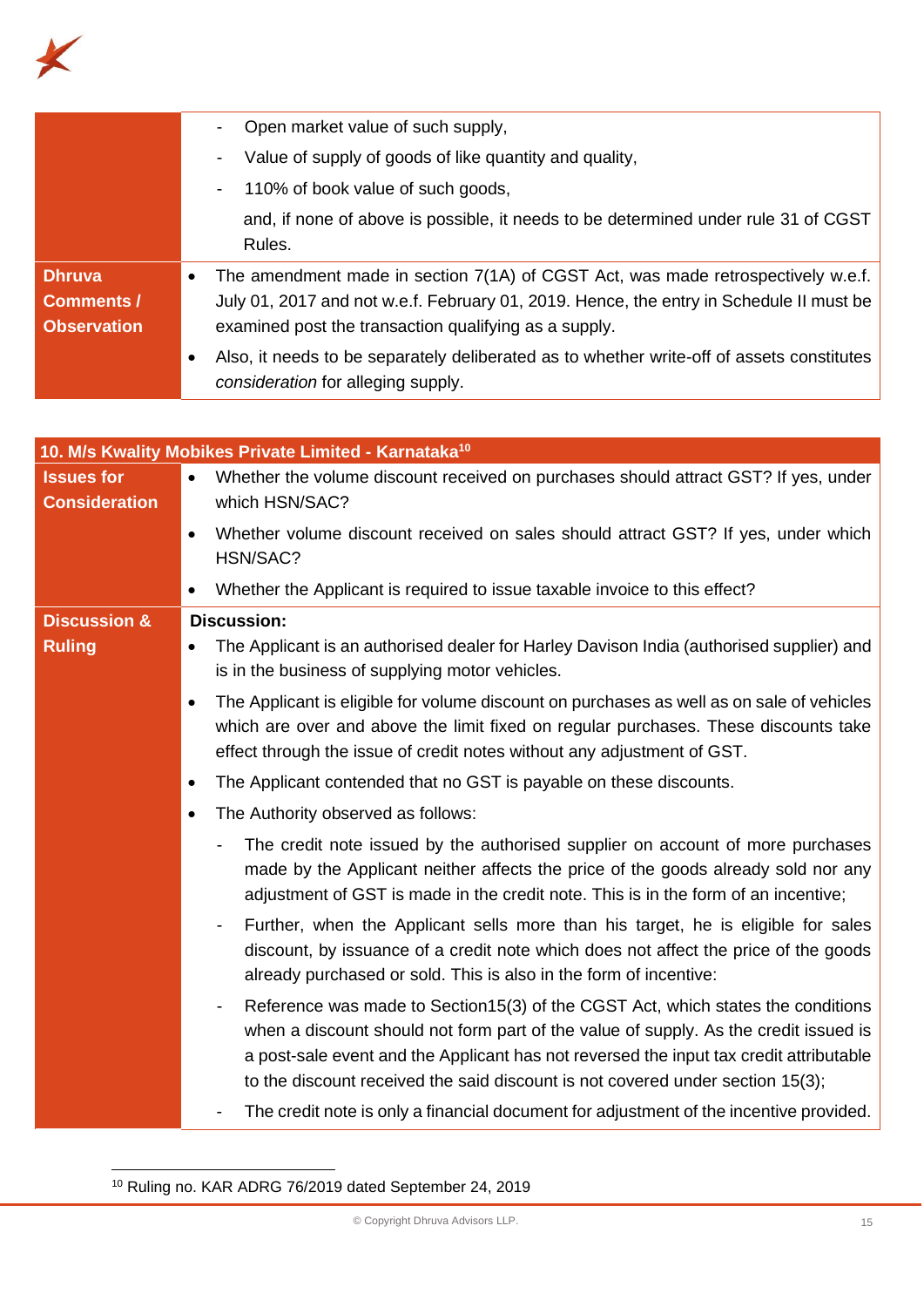

|                                                          | Open market value of such supply,                                                                                                                                                                                                                                                                                                                        |
|----------------------------------------------------------|----------------------------------------------------------------------------------------------------------------------------------------------------------------------------------------------------------------------------------------------------------------------------------------------------------------------------------------------------------|
|                                                          | Value of supply of goods of like quantity and quality,                                                                                                                                                                                                                                                                                                   |
|                                                          | 110% of book value of such goods,                                                                                                                                                                                                                                                                                                                        |
|                                                          | and, if none of above is possible, it needs to be determined under rule 31 of CGST<br>Rules.                                                                                                                                                                                                                                                             |
| <b>Dhruva</b><br><b>Comments /</b><br><b>Observation</b> | The amendment made in section 7(1A) of CGST Act, was made retrospectively w.e.f.<br>٠<br>July 01, 2017 and not w.e.f. February 01, 2019. Hence, the entry in Schedule II must be<br>examined post the transaction qualifying as a supply.                                                                                                                |
|                                                          | Also, it needs to be separately deliberated as to whether write-off of assets constitutes<br>$\bullet$<br>consideration for alleging supply.                                                                                                                                                                                                             |
|                                                          |                                                                                                                                                                                                                                                                                                                                                          |
|                                                          | 10. M/s Kwality Mobikes Private Limited - Karnataka <sup>10</sup>                                                                                                                                                                                                                                                                                        |
| <b>Issues for</b><br><b>Consideration</b>                | Whether the volume discount received on purchases should attract GST? If yes, under<br>which HSN/SAC?                                                                                                                                                                                                                                                    |
|                                                          | Whether volume discount received on sales should attract GST? If yes, under which<br>$\bullet$<br>HSN/SAC?                                                                                                                                                                                                                                               |
|                                                          | Whether the Applicant is required to issue taxable invoice to this effect?<br>٠                                                                                                                                                                                                                                                                          |
| <b>Discussion &amp;</b>                                  | <b>Discussion:</b>                                                                                                                                                                                                                                                                                                                                       |
| <b>Ruling</b>                                            | The Applicant is an authorised dealer for Harley Davison India (authorised supplier) and<br>is in the business of supplying motor vehicles.                                                                                                                                                                                                              |
|                                                          | The Applicant is eligible for volume discount on purchases as well as on sale of vehicles<br>$\bullet$<br>which are over and above the limit fixed on regular purchases. These discounts take<br>effect through the issue of credit notes without any adjustment of GST.                                                                                 |
|                                                          | The Applicant contended that no GST is payable on these discounts.                                                                                                                                                                                                                                                                                       |
|                                                          | The Authority observed as follows:                                                                                                                                                                                                                                                                                                                       |
|                                                          | The credit note issued by the authorised supplier on account of more purchases<br>made by the Applicant neither affects the price of the goods already sold nor any<br>adjustment of GST is made in the credit note. This is in the form of an incentive;                                                                                                |
|                                                          | Further, when the Applicant sells more than his target, he is eligible for sales<br>-<br>discount, by issuance of a credit note which does not affect the price of the goods<br>already purchased or sold. This is also in the form of incentive:                                                                                                        |
|                                                          | Reference was made to Section15(3) of the CGST Act, which states the conditions<br>-<br>when a discount should not form part of the value of supply. As the credit issued is<br>a post-sale event and the Applicant has not reversed the input tax credit attributable<br>to the discount received the said discount is not covered under section 15(3); |
|                                                          | The credit note is only a financial document for adjustment of the incentive provided.                                                                                                                                                                                                                                                                   |

<sup>10</sup> Ruling no. KAR ADRG 76/2019 dated September 24, 2019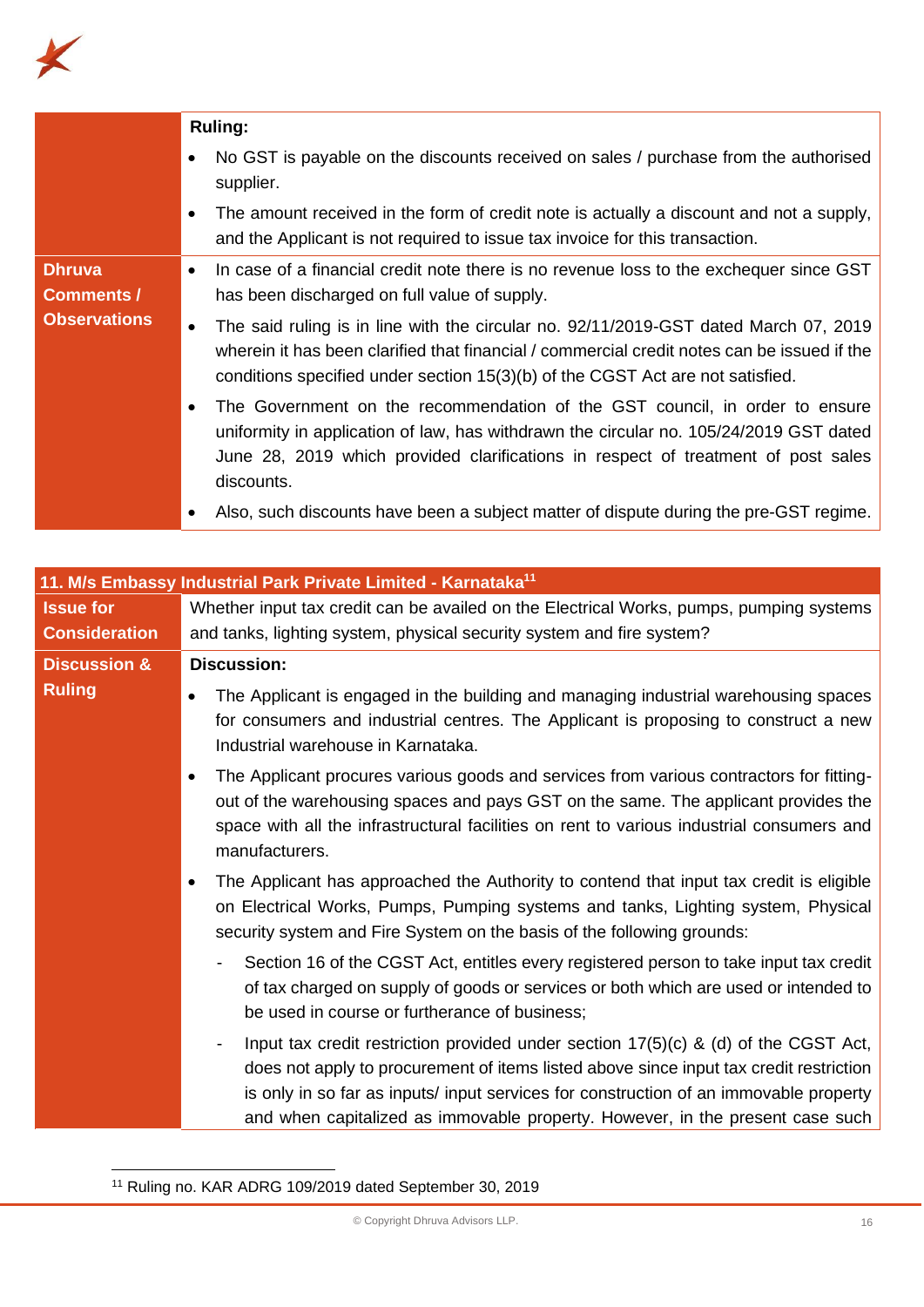

|                     | <b>Ruling:</b>                                                                                                                                                                                                                                                                     |
|---------------------|------------------------------------------------------------------------------------------------------------------------------------------------------------------------------------------------------------------------------------------------------------------------------------|
|                     | No GST is payable on the discounts received on sales / purchase from the authorised<br>supplier.                                                                                                                                                                                   |
|                     | The amount received in the form of credit note is actually a discount and not a supply,<br>and the Applicant is not required to issue tax invoice for this transaction.                                                                                                            |
| <b>Dhruva</b>       | In case of a financial credit note there is no revenue loss to the exchequer since GST<br>$\bullet$                                                                                                                                                                                |
| <b>Comments /</b>   | has been discharged on full value of supply.                                                                                                                                                                                                                                       |
| <b>Observations</b> | The said ruling is in line with the circular no. 92/11/2019-GST dated March 07, 2019<br>$\bullet$<br>wherein it has been clarified that financial / commercial credit notes can be issued if the<br>conditions specified under section 15(3)(b) of the CGST Act are not satisfied. |
|                     | The Government on the recommendation of the GST council, in order to ensure<br>uniformity in application of law, has withdrawn the circular no. 105/24/2019 GST dated<br>June 28, 2019 which provided clarifications in respect of treatment of post sales<br>discounts.           |
|                     | Also, such discounts have been a subject matter of dispute during the pre-GST regime.                                                                                                                                                                                              |

|                         | 11. M/s Embassy Industrial Park Private Limited - Karnataka <sup>11</sup>                                                                                                                                                                                                                                                                                 |
|-------------------------|-----------------------------------------------------------------------------------------------------------------------------------------------------------------------------------------------------------------------------------------------------------------------------------------------------------------------------------------------------------|
| <b>Issue for</b>        | Whether input tax credit can be availed on the Electrical Works, pumps, pumping systems                                                                                                                                                                                                                                                                   |
| <b>Consideration</b>    | and tanks, lighting system, physical security system and fire system?                                                                                                                                                                                                                                                                                     |
| <b>Discussion &amp;</b> | <b>Discussion:</b>                                                                                                                                                                                                                                                                                                                                        |
| <b>Ruling</b>           | The Applicant is engaged in the building and managing industrial warehousing spaces<br>for consumers and industrial centres. The Applicant is proposing to construct a new<br>Industrial warehouse in Karnataka.                                                                                                                                          |
|                         | The Applicant procures various goods and services from various contractors for fitting-<br>out of the warehousing spaces and pays GST on the same. The applicant provides the<br>space with all the infrastructural facilities on rent to various industrial consumers and<br>manufacturers.                                                              |
|                         | The Applicant has approached the Authority to contend that input tax credit is eligible<br>on Electrical Works, Pumps, Pumping systems and tanks, Lighting system, Physical<br>security system and Fire System on the basis of the following grounds:                                                                                                     |
|                         | Section 16 of the CGST Act, entitles every registered person to take input tax credit<br>-<br>of tax charged on supply of goods or services or both which are used or intended to<br>be used in course or furtherance of business;                                                                                                                        |
|                         | Input tax credit restriction provided under section $17(5)(c)$ & (d) of the CGST Act,<br>does not apply to procurement of items listed above since input tax credit restriction<br>is only in so far as inputs/ input services for construction of an immovable property<br>and when capitalized as immovable property. However, in the present case such |

<sup>11</sup> Ruling no. KAR ADRG 109/2019 dated September 30, 2019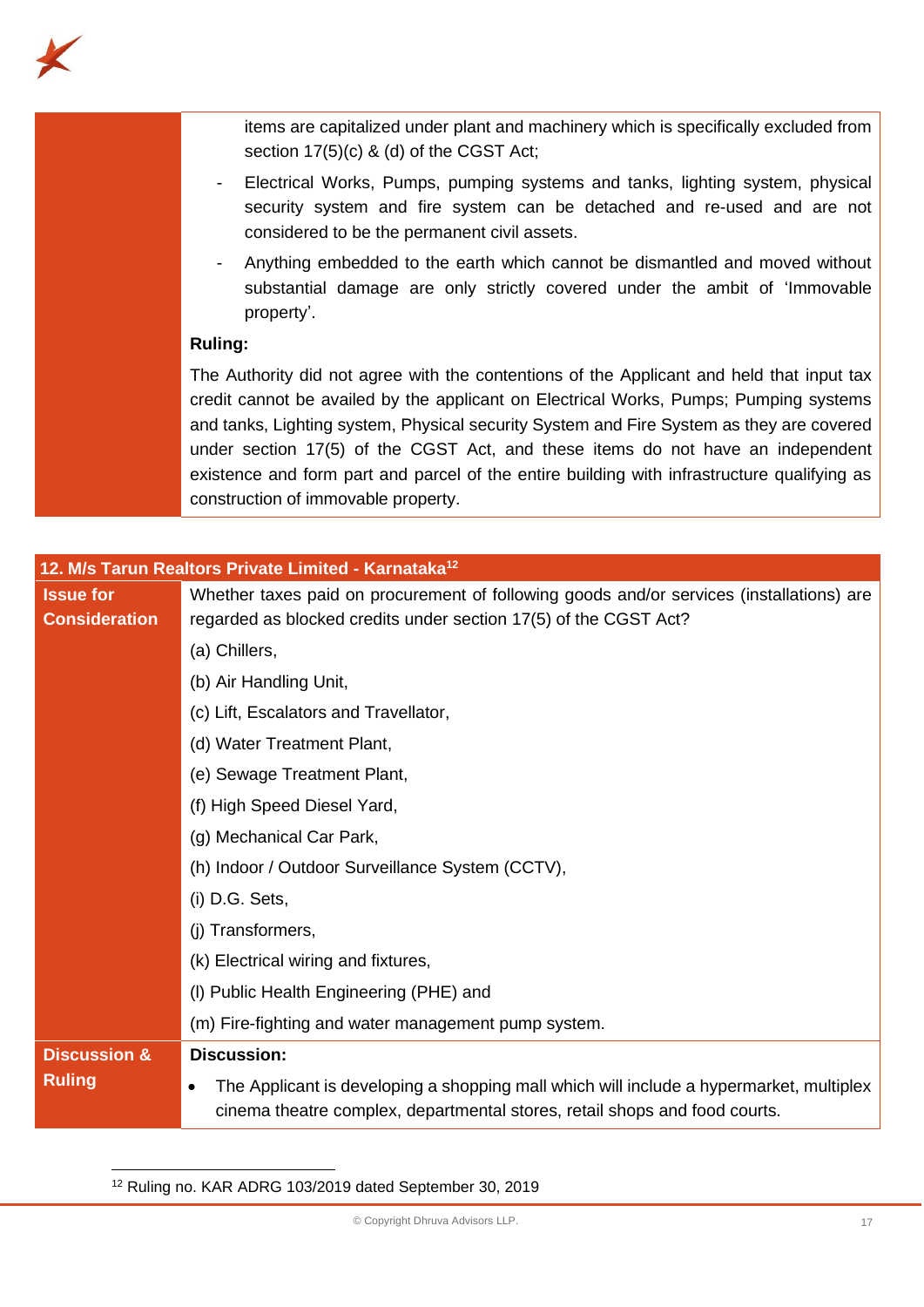

items are capitalized under plant and machinery which is specifically excluded from section 17(5)(c) & (d) of the CGST Act;

- Electrical Works, Pumps, pumping systems and tanks, lighting system, physical security system and fire system can be detached and re-used and are not considered to be the permanent civil assets.
- Anything embedded to the earth which cannot be dismantled and moved without substantial damage are only strictly covered under the ambit of 'Immovable property'.

# **Ruling:**

The Authority did not agree with the contentions of the Applicant and held that input tax credit cannot be availed by the applicant on Electrical Works, Pumps; Pumping systems and tanks, Lighting system, Physical security System and Fire System as they are covered under section 17(5) of the CGST Act, and these items do not have an independent existence and form part and parcel of the entire building with infrastructure qualifying as construction of immovable property.

|                         | 12. M/s Tarun Realtors Private Limited - Karnataka <sup>12</sup>                                                                                                      |  |
|-------------------------|-----------------------------------------------------------------------------------------------------------------------------------------------------------------------|--|
| <b>Issue for</b>        | Whether taxes paid on procurement of following goods and/or services (installations) are                                                                              |  |
| <b>Consideration</b>    | regarded as blocked credits under section 17(5) of the CGST Act?                                                                                                      |  |
|                         | (a) Chillers,                                                                                                                                                         |  |
|                         | (b) Air Handling Unit,                                                                                                                                                |  |
|                         | (c) Lift, Escalators and Travellator,                                                                                                                                 |  |
|                         | (d) Water Treatment Plant,                                                                                                                                            |  |
|                         | (e) Sewage Treatment Plant,                                                                                                                                           |  |
|                         | (f) High Speed Diesel Yard,                                                                                                                                           |  |
|                         | (g) Mechanical Car Park,                                                                                                                                              |  |
|                         | (h) Indoor / Outdoor Surveillance System (CCTV),                                                                                                                      |  |
|                         | (i) D.G. Sets,                                                                                                                                                        |  |
|                         | (j) Transformers,                                                                                                                                                     |  |
|                         | (k) Electrical wiring and fixtures,                                                                                                                                   |  |
|                         | (I) Public Health Engineering (PHE) and                                                                                                                               |  |
|                         | (m) Fire-fighting and water management pump system.                                                                                                                   |  |
| <b>Discussion &amp;</b> | <b>Discussion:</b>                                                                                                                                                    |  |
| <b>Ruling</b>           | The Applicant is developing a shopping mall which will include a hypermarket, multiplex<br>cinema theatre complex, departmental stores, retail shops and food courts. |  |

<sup>12</sup> Ruling no. KAR ADRG 103/2019 dated September 30, 2019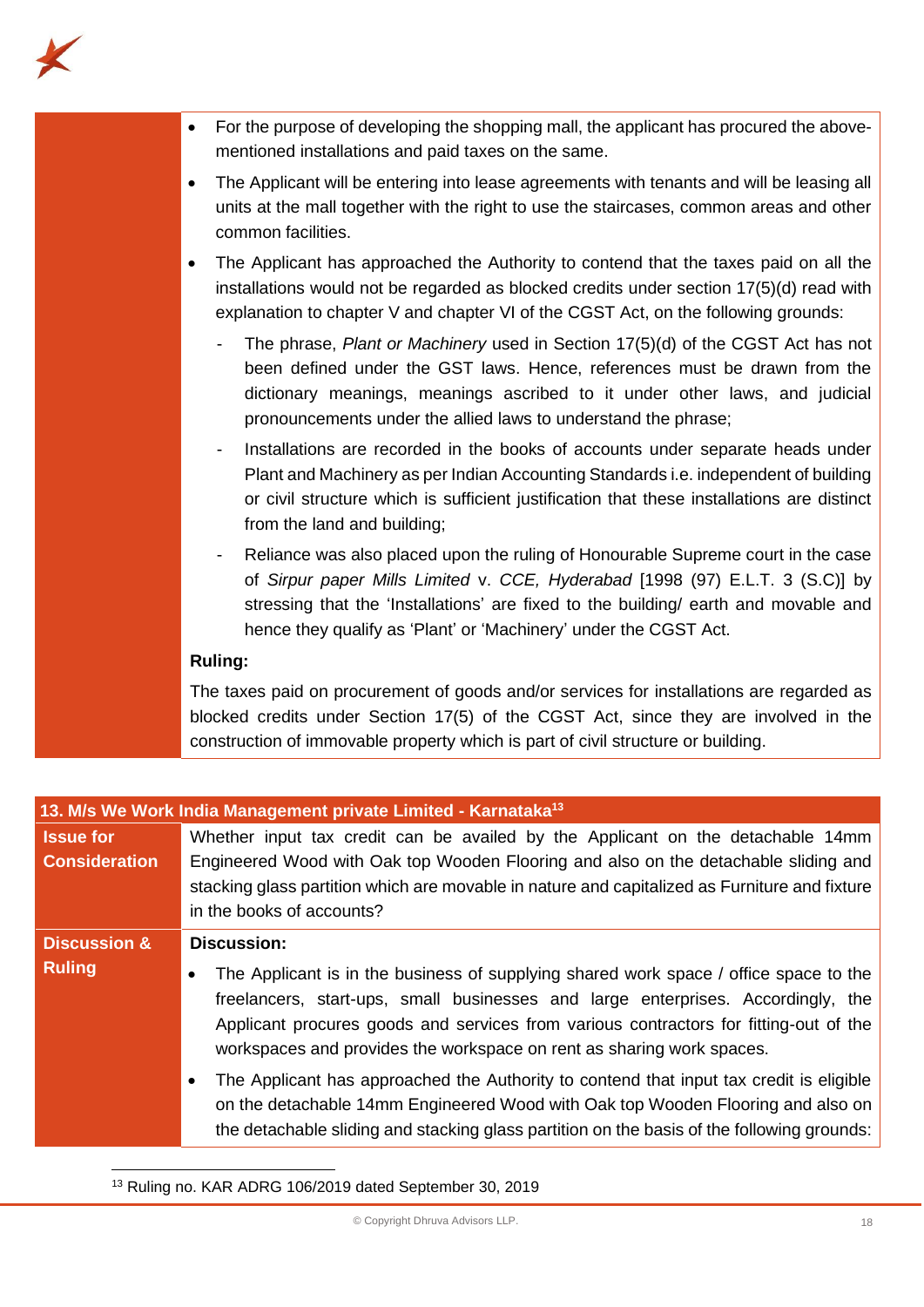

- For the purpose of developing the shopping mall, the applicant has procured the abovementioned installations and paid taxes on the same.
- The Applicant will be entering into lease agreements with tenants and will be leasing all units at the mall together with the right to use the staircases, common areas and other common facilities.
- The Applicant has approached the Authority to contend that the taxes paid on all the installations would not be regarded as blocked credits under section 17(5)(d) read with explanation to chapter V and chapter VI of the CGST Act, on the following grounds:
	- The phrase, *Plant or Machinery* used in Section 17(5)(d) of the CGST Act has not been defined under the GST laws. Hence, references must be drawn from the dictionary meanings, meanings ascribed to it under other laws, and judicial pronouncements under the allied laws to understand the phrase;
	- Installations are recorded in the books of accounts under separate heads under Plant and Machinery as per Indian Accounting Standards i.e. independent of building or civil structure which is sufficient justification that these installations are distinct from the land and building;
	- Reliance was also placed upon the ruling of Honourable Supreme court in the case of *Sirpur paper Mills Limited* v. *CCE, Hyderabad* [1998 (97) E.L.T. 3 (S.C)] by stressing that the 'Installations' are fixed to the building/ earth and movable and hence they qualify as 'Plant' or 'Machinery' under the CGST Act.

# **Ruling:**

The taxes paid on procurement of goods and/or services for installations are regarded as blocked credits under Section 17(5) of the CGST Act, since they are involved in the construction of immovable property which is part of civil structure or building.

|                         | 13. M/s We Work India Management private Limited - Karnataka <sup>13</sup>                                                                                                                                                                                                                                                                               |
|-------------------------|----------------------------------------------------------------------------------------------------------------------------------------------------------------------------------------------------------------------------------------------------------------------------------------------------------------------------------------------------------|
| <b>Issue for</b>        | Whether input tax credit can be availed by the Applicant on the detachable 14mm                                                                                                                                                                                                                                                                          |
| <b>Consideration</b>    | Engineered Wood with Oak top Wooden Flooring and also on the detachable sliding and<br>stacking glass partition which are movable in nature and capitalized as Furniture and fixture<br>in the books of accounts?                                                                                                                                        |
| <b>Discussion &amp;</b> | <b>Discussion:</b>                                                                                                                                                                                                                                                                                                                                       |
| <b>Ruling</b>           | The Applicant is in the business of supplying shared work space / office space to the<br>$\bullet$<br>freelancers, start-ups, small businesses and large enterprises. Accordingly, the<br>Applicant procures goods and services from various contractors for fitting-out of the<br>workspaces and provides the workspace on rent as sharing work spaces. |
|                         | The Applicant has approached the Authority to contend that input tax credit is eligible<br>$\bullet$<br>on the detachable 14mm Engineered Wood with Oak top Wooden Flooring and also on<br>the detachable sliding and stacking glass partition on the basis of the following grounds:                                                                    |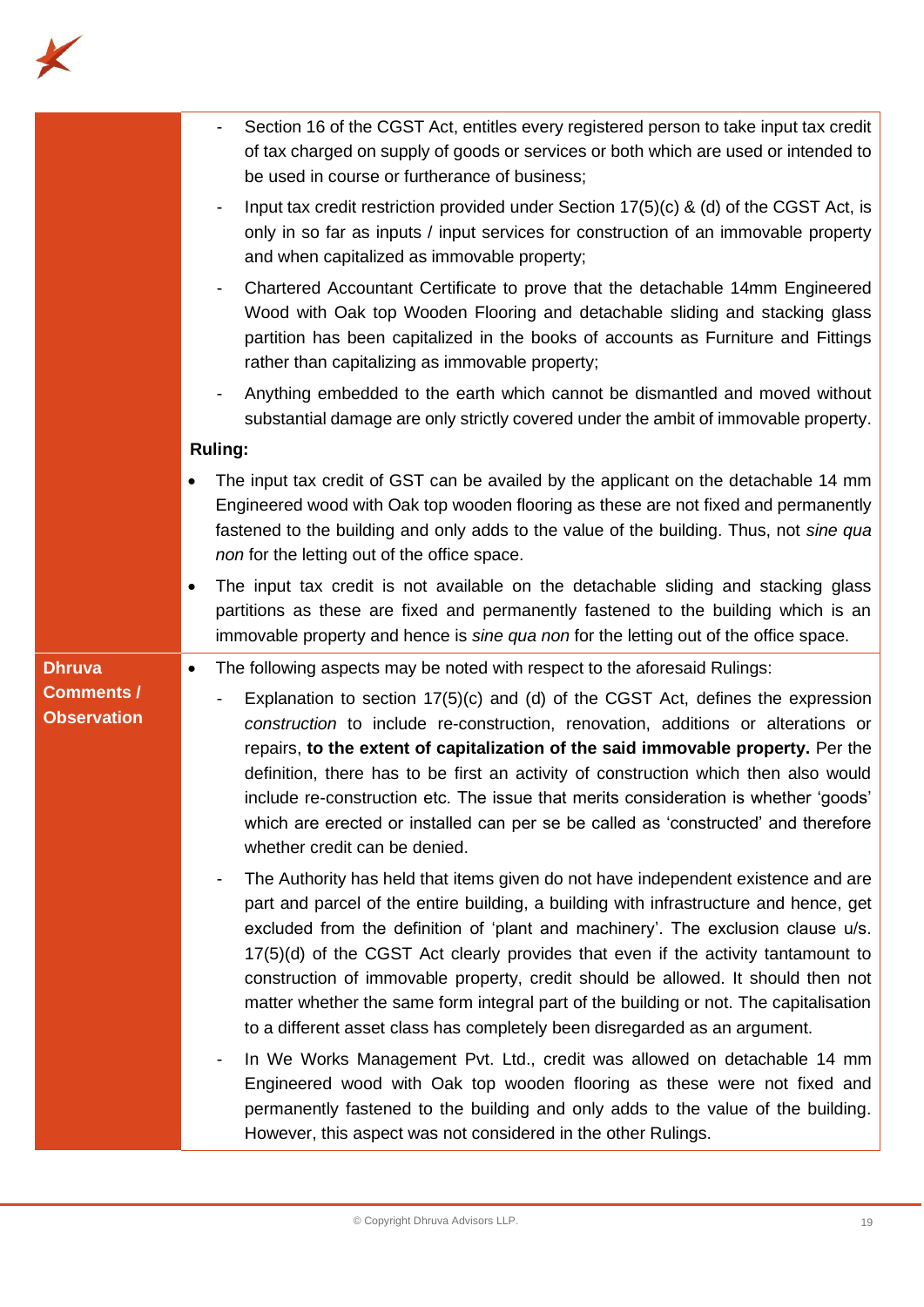

|                                         | Section 16 of the CGST Act, entitles every registered person to take input tax credit<br>of tax charged on supply of goods or services or both which are used or intended to<br>be used in course or furtherance of business;                                                                                                                                                                                                                                                                                                                                                                                                                                                                                                                                                                                                                                                                                               |
|-----------------------------------------|-----------------------------------------------------------------------------------------------------------------------------------------------------------------------------------------------------------------------------------------------------------------------------------------------------------------------------------------------------------------------------------------------------------------------------------------------------------------------------------------------------------------------------------------------------------------------------------------------------------------------------------------------------------------------------------------------------------------------------------------------------------------------------------------------------------------------------------------------------------------------------------------------------------------------------|
|                                         | Input tax credit restriction provided under Section 17(5)(c) & (d) of the CGST Act, is<br>only in so far as inputs / input services for construction of an immovable property<br>and when capitalized as immovable property;                                                                                                                                                                                                                                                                                                                                                                                                                                                                                                                                                                                                                                                                                                |
|                                         | Chartered Accountant Certificate to prove that the detachable 14mm Engineered<br>Wood with Oak top Wooden Flooring and detachable sliding and stacking glass<br>partition has been capitalized in the books of accounts as Furniture and Fittings<br>rather than capitalizing as immovable property;                                                                                                                                                                                                                                                                                                                                                                                                                                                                                                                                                                                                                        |
|                                         | Anything embedded to the earth which cannot be dismantled and moved without<br>substantial damage are only strictly covered under the ambit of immovable property.                                                                                                                                                                                                                                                                                                                                                                                                                                                                                                                                                                                                                                                                                                                                                          |
|                                         | <b>Ruling:</b>                                                                                                                                                                                                                                                                                                                                                                                                                                                                                                                                                                                                                                                                                                                                                                                                                                                                                                              |
|                                         | The input tax credit of GST can be availed by the applicant on the detachable 14 mm<br>Engineered wood with Oak top wooden flooring as these are not fixed and permanently<br>fastened to the building and only adds to the value of the building. Thus, not sine qua<br>non for the letting out of the office space.                                                                                                                                                                                                                                                                                                                                                                                                                                                                                                                                                                                                       |
|                                         | The input tax credit is not available on the detachable sliding and stacking glass<br>partitions as these are fixed and permanently fastened to the building which is an<br>immovable property and hence is sine qua non for the letting out of the office space.                                                                                                                                                                                                                                                                                                                                                                                                                                                                                                                                                                                                                                                           |
| <b>Dhruva</b>                           | The following aspects may be noted with respect to the aforesaid Rulings:<br>$\bullet$                                                                                                                                                                                                                                                                                                                                                                                                                                                                                                                                                                                                                                                                                                                                                                                                                                      |
| <b>Comments /</b><br><b>Observation</b> | Explanation to section $17(5)(c)$ and (d) of the CGST Act, defines the expression<br>$\overline{\phantom{a}}$<br>construction to include re-construction, renovation, additions or alterations or<br>repairs, to the extent of capitalization of the said immovable property. Per the<br>definition, there has to be first an activity of construction which then also would<br>include re-construction etc. The issue that merits consideration is whether 'goods'<br>which are erected or installed can per se be called as 'constructed' and therefore<br>whether credit can be denied.                                                                                                                                                                                                                                                                                                                                  |
|                                         | The Authority has held that items given do not have independent existence and are<br>part and parcel of the entire building, a building with infrastructure and hence, get<br>excluded from the definition of 'plant and machinery'. The exclusion clause u/s.<br>17(5)(d) of the CGST Act clearly provides that even if the activity tantamount to<br>construction of immovable property, credit should be allowed. It should then not<br>matter whether the same form integral part of the building or not. The capitalisation<br>to a different asset class has completely been disregarded as an argument.<br>In We Works Management Pvt. Ltd., credit was allowed on detachable 14 mm<br>Engineered wood with Oak top wooden flooring as these were not fixed and<br>permanently fastened to the building and only adds to the value of the building.<br>However, this aspect was not considered in the other Rulings. |
|                                         |                                                                                                                                                                                                                                                                                                                                                                                                                                                                                                                                                                                                                                                                                                                                                                                                                                                                                                                             |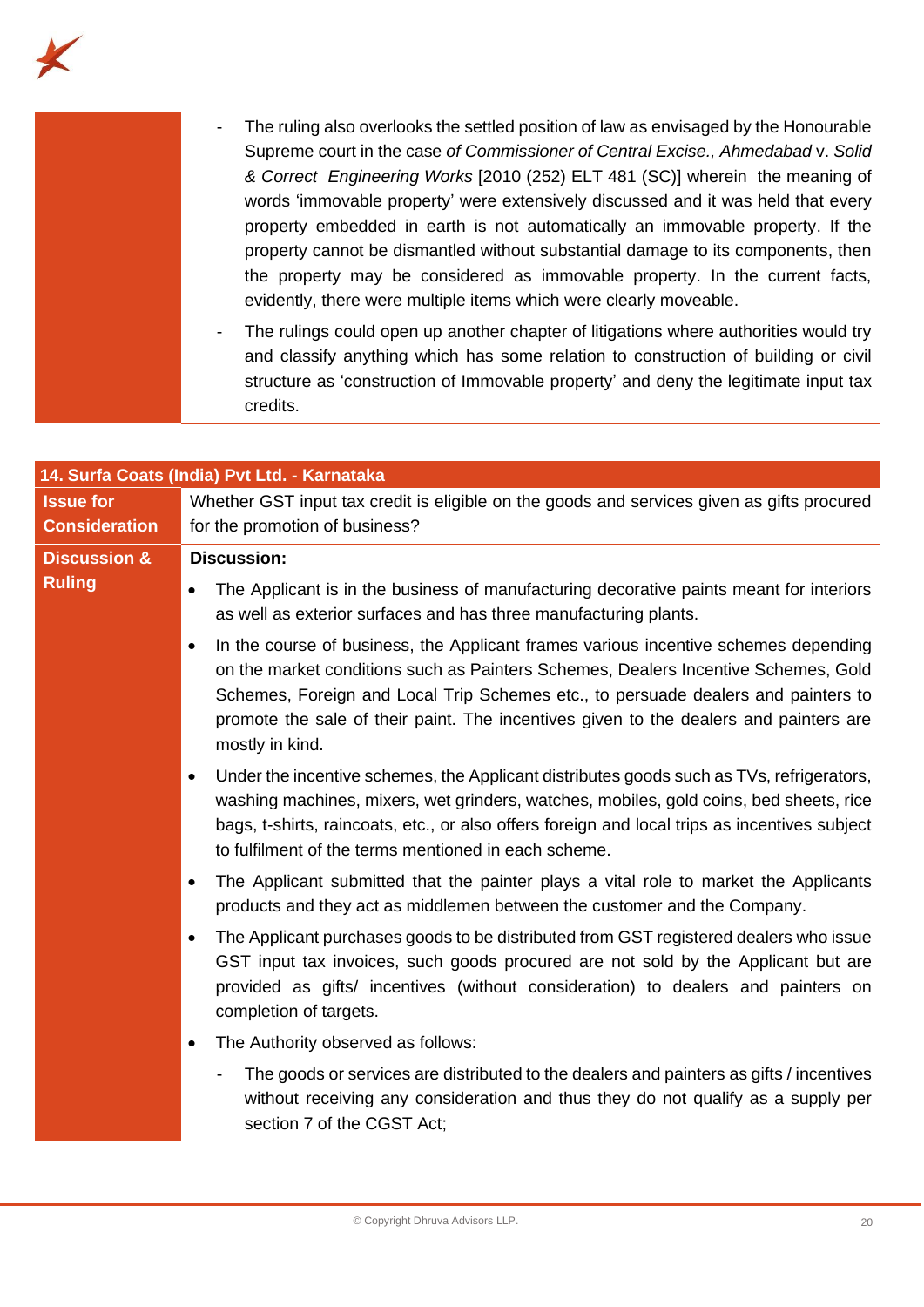

| The ruling also overlooks the settled position of law as envisaged by the Honourable           |
|------------------------------------------------------------------------------------------------|
| Supreme court in the case of Commissioner of Central Excise., Ahmedabad v. Solid               |
| & Correct Engineering Works [2010 (252) ELT 481 (SC)] wherein the meaning of                   |
| words 'immovable property' were extensively discussed and it was held that every               |
| property embedded in earth is not automatically an immovable property. If the                  |
| property cannot be dismantled without substantial damage to its components, then               |
| the property may be considered as immovable property. In the current facts,                    |
| evidently, there were multiple items which were clearly moveable.                              |
| The rulings could open up another chapter of litigations where authorities would try<br>$\sim$ |
| and classify anything which has some relation to construction of building or civil             |

credits.

structure as 'construction of Immovable property' and deny the legitimate input tax

|                         | 14. Surfa Coats (India) Pvt Ltd. - Karnataka                                                                                                                                                                                                                                                                                                                                            |
|-------------------------|-----------------------------------------------------------------------------------------------------------------------------------------------------------------------------------------------------------------------------------------------------------------------------------------------------------------------------------------------------------------------------------------|
| <b>Issue for</b>        | Whether GST input tax credit is eligible on the goods and services given as gifts procured                                                                                                                                                                                                                                                                                              |
| <b>Consideration</b>    | for the promotion of business?                                                                                                                                                                                                                                                                                                                                                          |
| <b>Discussion &amp;</b> | <b>Discussion:</b>                                                                                                                                                                                                                                                                                                                                                                      |
| <b>Ruling</b>           | The Applicant is in the business of manufacturing decorative paints meant for interiors<br>as well as exterior surfaces and has three manufacturing plants.                                                                                                                                                                                                                             |
|                         | In the course of business, the Applicant frames various incentive schemes depending<br>$\bullet$<br>on the market conditions such as Painters Schemes, Dealers Incentive Schemes, Gold<br>Schemes, Foreign and Local Trip Schemes etc., to persuade dealers and painters to<br>promote the sale of their paint. The incentives given to the dealers and painters are<br>mostly in kind. |
|                         | Under the incentive schemes, the Applicant distributes goods such as TVs, refrigerators,<br>$\bullet$<br>washing machines, mixers, wet grinders, watches, mobiles, gold coins, bed sheets, rice<br>bags, t-shirts, raincoats, etc., or also offers foreign and local trips as incentives subject<br>to fulfilment of the terms mentioned in each scheme.                                |
|                         | The Applicant submitted that the painter plays a vital role to market the Applicants<br>$\bullet$<br>products and they act as middlemen between the customer and the Company.                                                                                                                                                                                                           |
|                         | The Applicant purchases goods to be distributed from GST registered dealers who issue<br>GST input tax invoices, such goods procured are not sold by the Applicant but are<br>provided as gifts/ incentives (without consideration) to dealers and painters on<br>completion of targets.                                                                                                |
|                         | The Authority observed as follows:                                                                                                                                                                                                                                                                                                                                                      |
|                         | The goods or services are distributed to the dealers and painters as gifts / incentives<br>without receiving any consideration and thus they do not qualify as a supply per<br>section 7 of the CGST Act;                                                                                                                                                                               |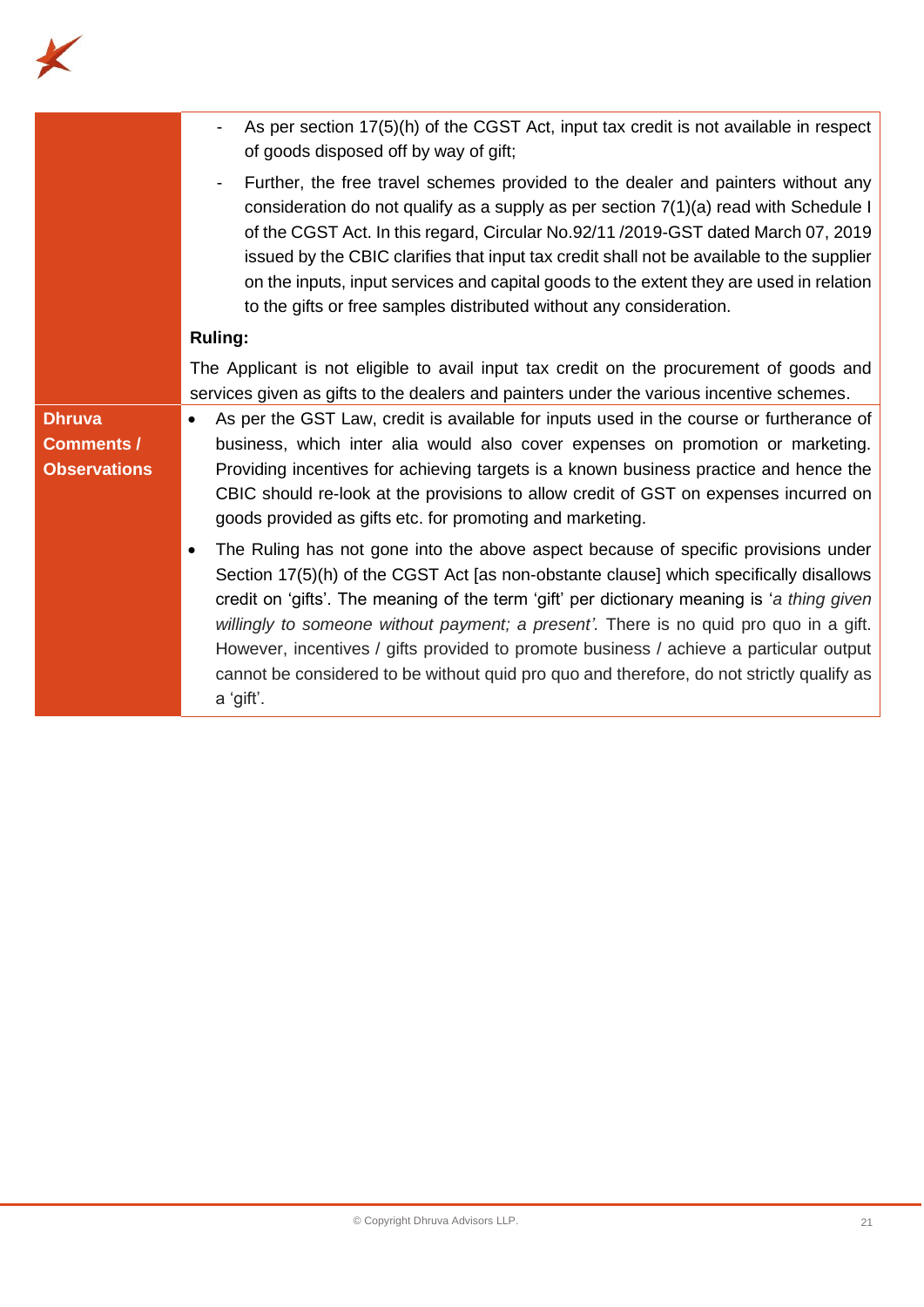

| As per section 17(5)(h) of the CGST Act, input tax credit is not available in respect<br>$\overline{\phantom{a}}$<br>of goods disposed off by way of gift;                                                                                                                                                                                                                                                                                                                                                                                                                           |
|--------------------------------------------------------------------------------------------------------------------------------------------------------------------------------------------------------------------------------------------------------------------------------------------------------------------------------------------------------------------------------------------------------------------------------------------------------------------------------------------------------------------------------------------------------------------------------------|
| Further, the free travel schemes provided to the dealer and painters without any<br>consideration do not qualify as a supply as per section 7(1)(a) read with Schedule I<br>of the CGST Act. In this regard, Circular No.92/11/2019-GST dated March 07, 2019<br>issued by the CBIC clarifies that input tax credit shall not be available to the supplier<br>on the inputs, input services and capital goods to the extent they are used in relation<br>to the gifts or free samples distributed without any consideration.                                                          |
| <b>Ruling:</b>                                                                                                                                                                                                                                                                                                                                                                                                                                                                                                                                                                       |
| The Applicant is not eligible to avail input tax credit on the procurement of goods and<br>services given as gifts to the dealers and painters under the various incentive schemes.                                                                                                                                                                                                                                                                                                                                                                                                  |
| As per the GST Law, credit is available for inputs used in the course or furtherance of<br>$\bullet$<br>business, which inter alia would also cover expenses on promotion or marketing.<br>Providing incentives for achieving targets is a known business practice and hence the<br>CBIC should re-look at the provisions to allow credit of GST on expenses incurred on<br>goods provided as gifts etc. for promoting and marketing.                                                                                                                                                |
| The Ruling has not gone into the above aspect because of specific provisions under<br>$\bullet$<br>Section 17(5)(h) of the CGST Act [as non-obstante clause] which specifically disallows<br>credit on 'gifts'. The meaning of the term 'gift' per dictionary meaning is 'a thing given<br>willingly to someone without payment; a present'. There is no quid pro quo in a gift.<br>However, incentives / gifts provided to promote business / achieve a particular output<br>cannot be considered to be without quid pro quo and therefore, do not strictly qualify as<br>a 'gift'. |
|                                                                                                                                                                                                                                                                                                                                                                                                                                                                                                                                                                                      |